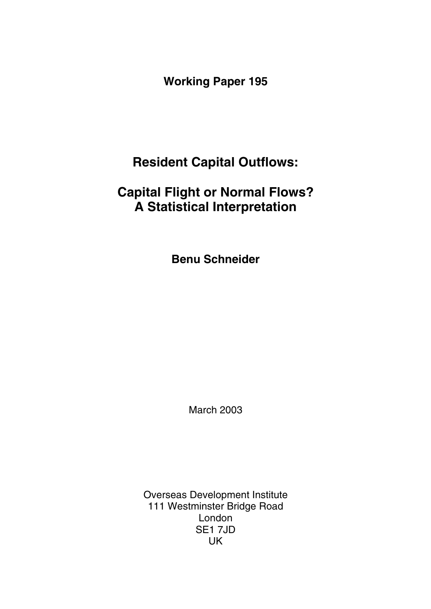**Working Paper 195** 

# **Resident Capital Outflows:**

# **Capital Flight or Normal Flows? A Statistical Interpretation**

**Benu Schneider** 

March 2003

Overseas Development Institute 111 Westminster Bridge Road London SE1 7JD UK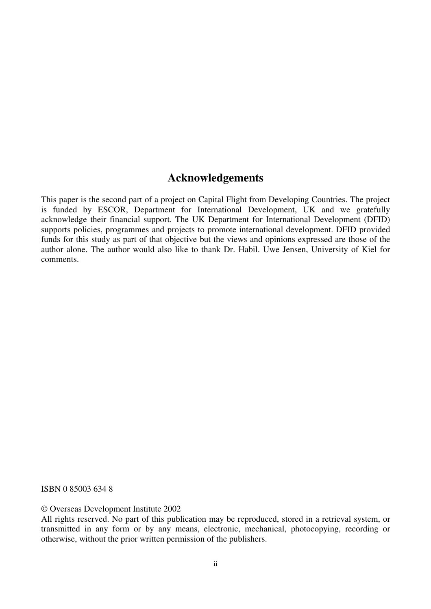### **Acknowledgements**

This paper is the second part of a project on Capital Flight from Developing Countries. The project is funded by ESCOR, Department for International Development, UK and we gratefully acknowledge their financial support. The UK Department for International Development (DFID) supports policies, programmes and projects to promote international development. DFID provided funds for this study as part of that objective but the views and opinions expressed are those of the author alone. The author would also like to thank Dr. Habil. Uwe Jensen, University of Kiel for comments.

ISBN 0 85003 634 8

© Overseas Development Institute 2002

All rights reserved. No part of this publication may be reproduced, stored in a retrieval system, or transmitted in any form or by any means, electronic, mechanical, photocopying, recording or otherwise, without the prior written permission of the publishers.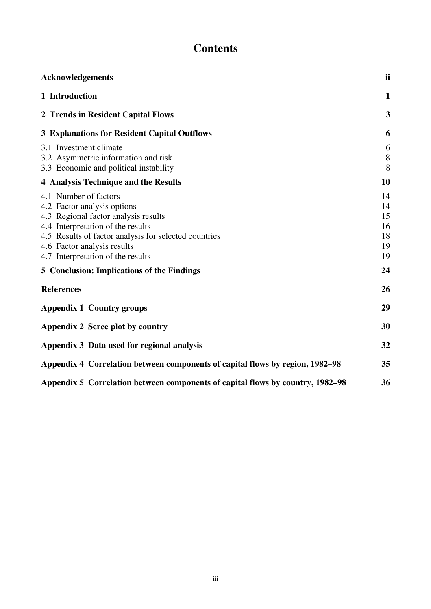# **Contents**

| <b>Acknowledgements</b>                                                                                                                                                                                                                                                                                             | ii                                           |
|---------------------------------------------------------------------------------------------------------------------------------------------------------------------------------------------------------------------------------------------------------------------------------------------------------------------|----------------------------------------------|
| 1 Introduction                                                                                                                                                                                                                                                                                                      | $\mathbf{1}$                                 |
| 2 Trends in Resident Capital Flows                                                                                                                                                                                                                                                                                  | 3                                            |
| <b>3 Explanations for Resident Capital Outflows</b>                                                                                                                                                                                                                                                                 | 6                                            |
| 3.1 Investment climate<br>3.2 Asymmetric information and risk<br>3.3 Economic and political instability                                                                                                                                                                                                             | 6<br>8<br>8                                  |
| 4 Analysis Technique and the Results                                                                                                                                                                                                                                                                                | 10                                           |
| 4.1 Number of factors<br>4.2 Factor analysis options<br>4.3 Regional factor analysis results<br>4.4 Interpretation of the results<br>4.5 Results of factor analysis for selected countries<br>4.6 Factor analysis results<br>4.7 Interpretation of the results<br><b>5 Conclusion: Implications of the Findings</b> | 14<br>14<br>15<br>16<br>18<br>19<br>19<br>24 |
|                                                                                                                                                                                                                                                                                                                     |                                              |
| <b>References</b>                                                                                                                                                                                                                                                                                                   | 26                                           |
| <b>Appendix 1 Country groups</b>                                                                                                                                                                                                                                                                                    | 29                                           |
| Appendix 2 Scree plot by country                                                                                                                                                                                                                                                                                    | 30                                           |
| Appendix 3 Data used for regional analysis                                                                                                                                                                                                                                                                          | 32                                           |
| Appendix 4 Correlation between components of capital flows by region, 1982–98                                                                                                                                                                                                                                       | 35                                           |
| Appendix 5 Correlation between components of capital flows by country, 1982–98                                                                                                                                                                                                                                      | 36                                           |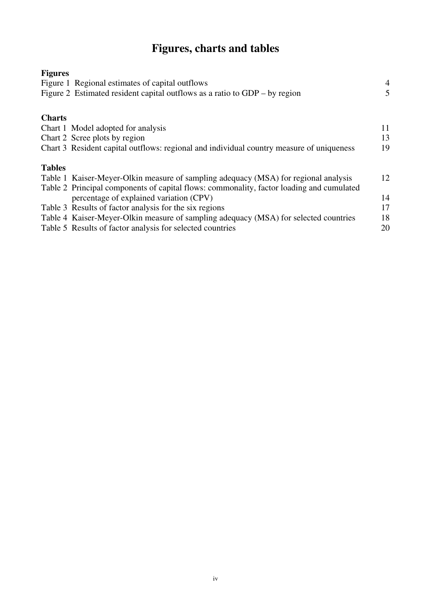# **Figures, charts and tables**

| <b>Figures</b> |                                                                                          |                |
|----------------|------------------------------------------------------------------------------------------|----------------|
|                | Figure 1 Regional estimates of capital outflows                                          | 4              |
|                | Figure 2 Estimated resident capital outflows as a ratio to $GDP - by region$             | $\mathfrak{H}$ |
| <b>Charts</b>  |                                                                                          |                |
|                | Chart 1 Model adopted for analysis                                                       | 11             |
|                | Chart 2 Scree plots by region                                                            | 13             |
|                | Chart 3 Resident capital outflows: regional and individual country measure of uniqueness | 19             |
| <b>Tables</b>  |                                                                                          |                |
|                | Table 1 Kaiser-Meyer-Olkin measure of sampling adequacy (MSA) for regional analysis      | 12             |
|                | Table 2 Principal components of capital flows: commonality, factor loading and cumulated |                |
|                | percentage of explained variation (CPV)                                                  | 14             |
|                | Table 3 Results of factor analysis for the six regions                                   | 17             |
|                | Table 4 Kaiser-Meyer-Olkin measure of sampling adequacy (MSA) for selected countries     | 18             |
|                | Table 5 Results of factor analysis for selected countries                                | 20             |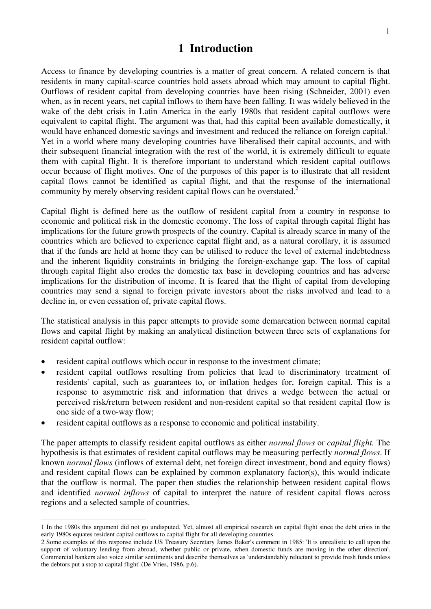### **1 Introduction**

Access to finance by developing countries is a matter of great concern. A related concern is that residents in many capital-scarce countries hold assets abroad which may amount to capital flight. Outflows of resident capital from developing countries have been rising (Schneider, 2001) even when, as in recent years, net capital inflows to them have been falling. It was widely believed in the wake of the debt crisis in Latin America in the early 1980s that resident capital outflows were equivalent to capital flight. The argument was that, had this capital been available domestically, it would have enhanced domestic savings and investment and reduced the reliance on foreign capital.<sup>1</sup> Yet in a world where many developing countries have liberalised their capital accounts, and with their subsequent financial integration with the rest of the world, it is extremely difficult to equate them with capital flight. It is therefore important to understand which resident capital outflows occur because of flight motives. One of the purposes of this paper is to illustrate that all resident capital flows cannot be identified as capital flight, and that the response of the international community by merely observing resident capital flows can be overstated.<sup>2</sup>

Capital flight is defined here as the outflow of resident capital from a country in response to economic and political risk in the domestic economy. The loss of capital through capital flight has implications for the future growth prospects of the country. Capital is already scarce in many of the countries which are believed to experience capital flight and, as a natural corollary, it is assumed that if the funds are held at home they can be utilised to reduce the level of external indebtedness and the inherent liquidity constraints in bridging the foreign-exchange gap. The loss of capital through capital flight also erodes the domestic tax base in developing countries and has adverse implications for the distribution of income. It is feared that the flight of capital from developing countries may send a signal to foreign private investors about the risks involved and lead to a decline in, or even cessation of, private capital flows.

The statistical analysis in this paper attempts to provide some demarcation between normal capital flows and capital flight by making an analytical distinction between three sets of explanations for resident capital outflow:

- resident capital outflows which occur in response to the investment climate;
- resident capital outflows resulting from policies that lead to discriminatory treatment of residents' capital, such as guarantees to, or inflation hedges for, foreign capital. This is a response to asymmetric risk and information that drives a wedge between the actual or perceived risk/return between resident and non-resident capital so that resident capital flow is one side of a two-way flow;
- resident capital outflows as a response to economic and political instability.

The paper attempts to classify resident capital outflows as either *normal flows* or *capital flight.* The hypothesis is that estimates of resident capital outflows may be measuring perfectly *normal flows*. If known *normal flows* (inflows of external debt, net foreign direct investment, bond and equity flows) and resident capital flows can be explained by common explanatory factor(s), this would indicate that the outflow is normal. The paper then studies the relationship between resident capital flows and identified *normal inflows* of capital to interpret the nature of resident capital flows across regions and a selected sample of countries.

<sup>1</sup> In the 1980s this argument did not go undisputed. Yet, almost all empirical research on capital flight since the debt crisis in the early 1980s equates resident capital outflows to capital flight for all developing countries.

<sup>2</sup> Some examples of this response include US Treasury Secretary James Baker's comment in 1985: 'It is unrealistic to call upon the support of voluntary lending from abroad, whether public or private, when domestic funds are moving in the other direction'. Commercial bankers also voice similar sentiments and describe themselves as 'understandably reluctant to provide fresh funds unless the debtors put a stop to capital flight' (De Vries, 1986, p.6).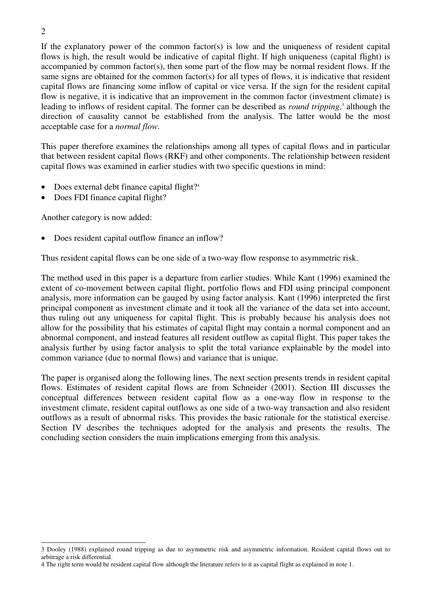If the explanatory power of the common factor(s) is low and the uniqueness of resident capital flows is high, the result would be indicative of capital flight. If high uniqueness (capital flight) is accompanied by common factor(s), then some part of the flow may be normal resident flows. If the same signs are obtained for the common factor(s) for all types of flows, it is indicative that resident capital flows are financing some inflow of capital or vice versa. If the sign for the resident capital flow is negative, it is indicative that an improvement in the common factor (investment climate) is leading to inflows of resident capital. The former can be described as *round tripping*,<sup>3</sup> although the direction of causality cannot be established from the analysis. The latter would be the most acceptable case for a *normal flow*.

This paper therefore examines the relationships among all types of capital flows and in particular that between resident capital flows (RKF) and other components. The relationship between resident capital flows was examined in earlier studies with two specific questions in mind:

- Does external debt finance capital flight?<sup>4</sup>
- Does FDI finance capital flight?

Another category is now added:

• Does resident capital outflow finance an inflow?

Thus resident capital flows can be one side of a two-way flow response to asymmetric risk.

The method used in this paper is a departure from earlier studies. While Kant (1996) examined the extent of co-movement between capital flight, portfolio flows and FDI using principal component analysis, more information can be gauged by using factor analysis. Kant (1996) interpreted the first principal component as investment climate and it took all the variance of the data set into account, thus ruling out any uniqueness for capital flight. This is probably because his analysis does not allow for the possibility that his estimates of capital flight may contain a normal component and an abnormal component, and instead features all resident outflow as capital flight. This paper takes the analysis further by using factor analysis to split the total variance explainable by the model into common variance (due to normal flows) and variance that is unique.

The paper is organised along the following lines. The next section presents trends in resident capital flows. Estimates of resident capital flows are from Schneider (2001). Section III discusses the conceptual differences between resident capital flow as a one-way flow in response to the investment climate, resident capital outflows as one side of a two-way transaction and also resident outflows as a result of abnormal risks. This provides the basic rationale for the statistical exercise. Section IV describes the techniques adopted for the analysis and presents the results. The concluding section considers the main implications emerging from this analysis.

<sup>3</sup> Dooley (1988) explained round tripping as due to asymmetric risk and asymmetric information. Resident capital flows out to arbitrage a risk differential.

<sup>4</sup> The right term would be resident capital flow although the literature refers to it as capital flight as explained in note 1.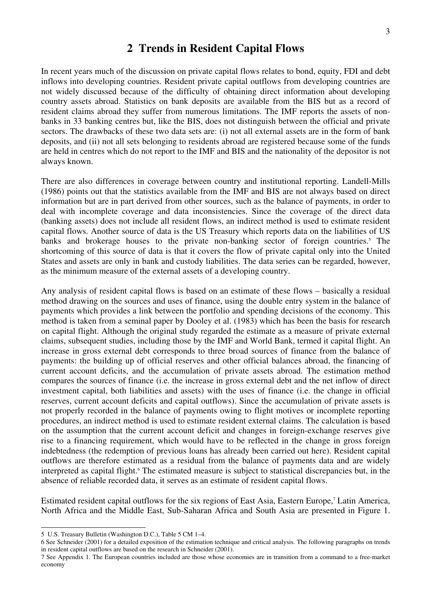### **2 Trends in Resident Capital Flows**

In recent years much of the discussion on private capital flows relates to bond, equity, FDI and debt inflows into developing countries. Resident private capital outflows from developing countries are not widely discussed because of the difficulty of obtaining direct information about developing country assets abroad. Statistics on bank deposits are available from the BIS but as a record of resident claims abroad they suffer from numerous limitations. The IMF reports the assets of nonbanks in 33 banking centres but, like the BIS, does not distinguish between the official and private sectors. The drawbacks of these two data sets are: (i) not all external assets are in the form of bank deposits, and (ii) not all sets belonging to residents abroad are registered because some of the funds are held in centres which do not report to the IMF and BIS and the nationality of the depositor is not always known.

There are also differences in coverage between country and institutional reporting. Landell-Mills (1986) points out that the statistics available from the IMF and BIS are not always based on direct information but are in part derived from other sources, such as the balance of payments, in order to deal with incomplete coverage and data inconsistencies. Since the coverage of the direct data (banking assets) does not include all resident flows, an indirect method is used to estimate resident capital flows. Another source of data is the US Treasury which reports data on the liabilities of US banks and brokerage houses to the private non-banking sector of foreign countries.<sup>5</sup> The shortcoming of this source of data is that it covers the flow of private capital only into the United States and assets are only in bank and custody liabilities. The data series can be regarded, however, as the minimum measure of the external assets of a developing country.

Any analysis of resident capital flows is based on an estimate of these flows – basically a residual method drawing on the sources and uses of finance, using the double entry system in the balance of payments which provides a link between the portfolio and spending decisions of the economy. This method is taken from a seminal paper by Dooley et al. (1983) which has been the basis for research on capital flight. Although the original study regarded the estimate as a measure of private external claims, subsequent studies, including those by the IMF and World Bank, termed it capital flight. An increase in gross external debt corresponds to three broad sources of finance from the balance of payments: the building up of official reserves and other official balances abroad, the financing of current account deficits, and the accumulation of private assets abroad. The estimation method compares the sources of finance (i.e. the increase in gross external debt and the net inflow of direct investment capital, both liabilities and assets) with the uses of finance (i.e. the change in official reserves, current account deficits and capital outflows). Since the accumulation of private assets is not properly recorded in the balance of payments owing to flight motives or incomplete reporting procedures, an indirect method is used to estimate resident external claims. The calculation is based on the assumption that the current account deficit and changes in foreign-exchange reserves give rise to a financing requirement, which would have to be reflected in the change in gross foreign indebtedness (the redemption of previous loans has already been carried out here). Resident capital outflows are therefore estimated as a residual from the balance of payments data and are widely interpreted as capital flight.<sup>6</sup> The estimated measure is subject to statistical discrepancies but, in the absence of reliable recorded data, it serves as an estimate of resident capital flows.

Estimated resident capital outflows for the six regions of East Asia, Eastern Europe,<sup>7</sup> Latin America, North Africa and the Middle East, Sub-Saharan Africa and South Asia are presented in Figure 1.

<sup>5</sup> U.S. Treasury Bulletin (Washington D.C.), Table 5 CM 1–4.

<sup>6</sup> See Schneider (2001) for a detailed exposition of the estimation technique and critical analysis. The following paragraphs on trends in resident capital outflows are based on the research in Schneider (2001).

<sup>7</sup> See Appendix 1. The European countries included are those whose economies are in transition from a command to a free-market economy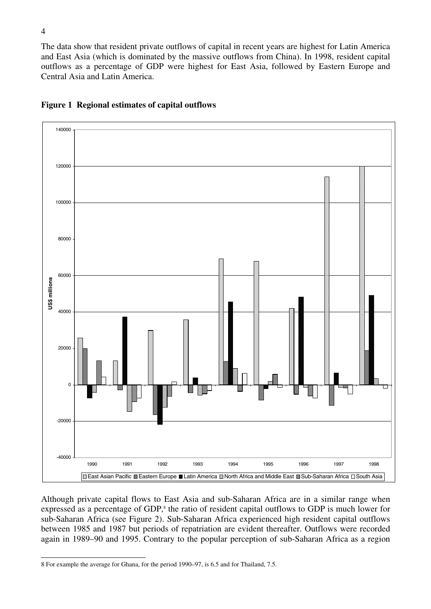The data show that resident private outflows of capital in recent years are highest for Latin America and East Asia (which is dominated by the massive outflows from China). In 1998, resident capital outflows as a percentage of GDP were highest for East Asia, followed by Eastern Europe and Central Asia and Latin America.



#### **Figure 1 Regional estimates of capital outflows**

Although private capital flows to East Asia and sub-Saharan Africa are in a similar range when expressed as a percentage of GDP,<sup>8</sup> the ratio of resident capital outflows to GDP is much lower for sub-Saharan Africa (see Figure 2). Sub-Saharan Africa experienced high resident capital outflows between 1985 and 1987 but periods of repatriation are evident thereafter. Outflows were recorded again in 1989–90 and 1995. Contrary to the popular perception of sub-Saharan Africa as a region

<sup>8</sup> For example the average for Ghana, for the period 1990–97, is 6.5 and for Thailand, 7.5.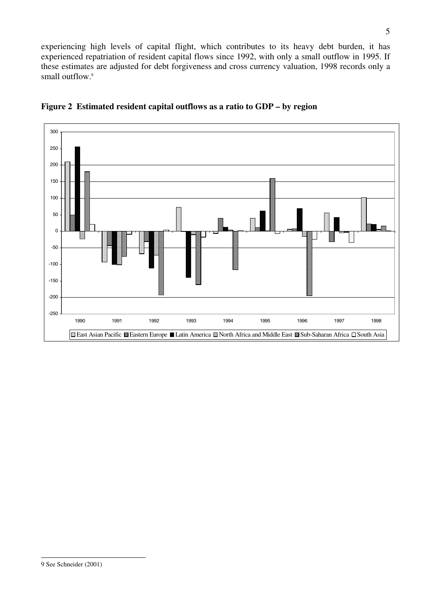experiencing high levels of capital flight, which contributes to its heavy debt burden, it has experienced repatriation of resident capital flows since 1992, with only a small outflow in 1995. If these estimates are adjusted for debt forgiveness and cross currency valuation, 1998 records only a small outflow.<sup>9</sup>



**Figure 2 Estimated resident capital outflows as a ratio to GDP – by region**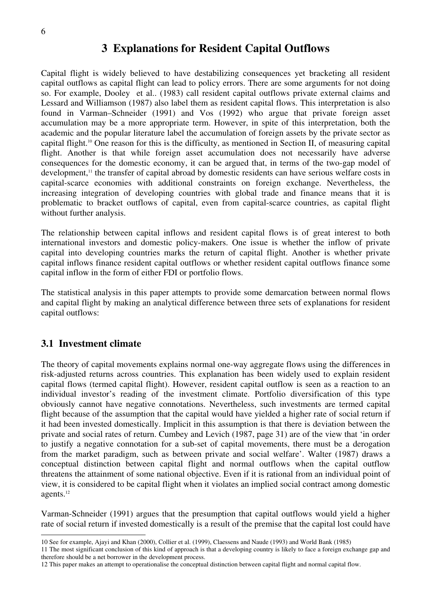### **3 Explanations for Resident Capital Outflows**

Capital flight is widely believed to have destabilizing consequences yet bracketing all resident capital outflows as capital flight can lead to policy errors. There are some arguments for not doing so. For example, Dooley et al.. (1983) call resident capital outflows private external claims and Lessard and Williamson (1987) also label them as resident capital flows. This interpretation is also found in Varman–Schneider (1991) and Vos (1992) who argue that private foreign asset accumulation may be a more appropriate term. However, in spite of this interpretation, both the academic and the popular literature label the accumulation of foreign assets by the private sector as capital flight.10 One reason for this is the difficulty, as mentioned in Section II, of measuring capital flight. Another is that while foreign asset accumulation does not necessarily have adverse consequences for the domestic economy, it can be argued that, in terms of the two-gap model of development,<sup>11</sup> the transfer of capital abroad by domestic residents can have serious welfare costs in capital-scarce economies with additional constraints on foreign exchange. Nevertheless, the increasing integration of developing countries with global trade and finance means that it is problematic to bracket outflows of capital, even from capital-scarce countries, as capital flight without further analysis.

The relationship between capital inflows and resident capital flows is of great interest to both international investors and domestic policy-makers. One issue is whether the inflow of private capital into developing countries marks the return of capital flight. Another is whether private capital inflows finance resident capital outflows or whether resident capital outflows finance some capital inflow in the form of either FDI or portfolio flows.

The statistical analysis in this paper attempts to provide some demarcation between normal flows and capital flight by making an analytical difference between three sets of explanations for resident capital outflows:

#### **3.1 Investment climate**

The theory of capital movements explains normal one-way aggregate flows using the differences in risk-adjusted returns across countries. This explanation has been widely used to explain resident capital flows (termed capital flight). However, resident capital outflow is seen as a reaction to an individual investor's reading of the investment climate. Portfolio diversification of this type obviously cannot have negative connotations. Nevertheless, such investments are termed capital flight because of the assumption that the capital would have yielded a higher rate of social return if it had been invested domestically. Implicit in this assumption is that there is deviation between the private and social rates of return. Cumbey and Levich (1987, page 31) are of the view that 'in order to justify a negative connotation for a sub-set of capital movements, there must be a derogation from the market paradigm, such as between private and social welfare'. Walter (1987) draws a conceptual distinction between capital flight and normal outflows when the capital outflow threatens the attainment of some national objective. Even if it is rational from an individual point of view, it is considered to be capital flight when it violates an implied social contract among domestic agents.12

Varman-Schneider (1991) argues that the presumption that capital outflows would yield a higher rate of social return if invested domestically is a result of the premise that the capital lost could have

<sup>10</sup> See for example, Ajayi and Khan (2000), Collier et al. (1999), Claessens and Naude (1993) and World Bank (1985)

<sup>11</sup> The most significant conclusion of this kind of approach is that a developing country is likely to face a foreign exchange gap and therefore should be a net borrower in the development process.

<sup>12</sup> This paper makes an attempt to operationalise the conceptual distinction between capital flight and normal capital flow.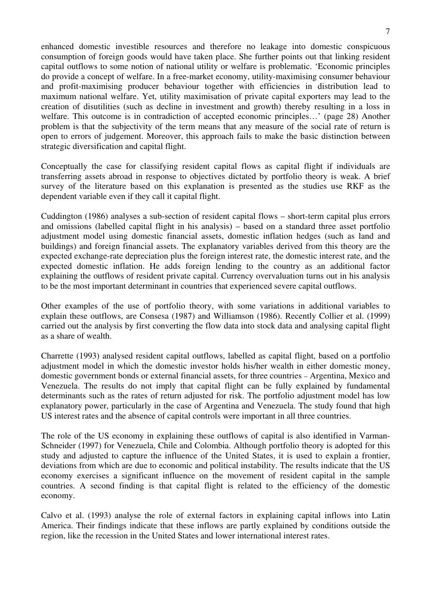enhanced domestic investible resources and therefore no leakage into domestic conspicuous consumption of foreign goods would have taken place. She further points out that linking resident capital outflows to some notion of national utility or welfare is problematic. 'Economic principles do provide a concept of welfare. In a free-market economy, utility-maximising consumer behaviour and profit-maximising producer behaviour together with efficiencies in distribution lead to maximum national welfare. Yet, utility maximisation of private capital exporters may lead to the creation of disutilities (such as decline in investment and growth) thereby resulting in a loss in welfare. This outcome is in contradiction of accepted economic principles…' (page 28) Another problem is that the subjectivity of the term means that any measure of the social rate of return is open to errors of judgement. Moreover, this approach fails to make the basic distinction between strategic diversification and capital flight.

Conceptually the case for classifying resident capital flows as capital flight if individuals are transferring assets abroad in response to objectives dictated by portfolio theory is weak. A brief survey of the literature based on this explanation is presented as the studies use RKF as the dependent variable even if they call it capital flight.

Cuddington (1986) analyses a sub-section of resident capital flows – short-term capital plus errors and omissions (labelled capital flight in his analysis) – based on a standard three asset portfolio adjustment model using domestic financial assets, domestic inflation hedges (such as land and buildings) and foreign financial assets. The explanatory variables derived from this theory are the expected exchange-rate depreciation plus the foreign interest rate, the domestic interest rate, and the expected domestic inflation. He adds foreign lending to the country as an additional factor explaining the outflows of resident private capital. Currency overvaluation turns out in his analysis to be the most important determinant in countries that experienced severe capital outflows.

Other examples of the use of portfolio theory, with some variations in additional variables to explain these outflows, are Consesa (1987) and Williamson (1986). Recently Collier et al. (1999) carried out the analysis by first converting the flow data into stock data and analysing capital flight as a share of wealth.

Charrette (1993) analysed resident capital outflows, labelled as capital flight, based on a portfolio adjustment model in which the domestic investor holds his/her wealth in either domestic money, domestic government bonds or external financial assets, for three countries – Argentina, Mexico and Venezuela. The results do not imply that capital flight can be fully explained by fundamental determinants such as the rates of return adjusted for risk. The portfolio adjustment model has low explanatory power, particularly in the case of Argentina and Venezuela. The study found that high US interest rates and the absence of capital controls were important in all three countries.

The role of the US economy in explaining these outflows of capital is also identified in Varman-Schneider (1997) for Venezuela, Chile and Colombia. Although portfolio theory is adopted for this study and adjusted to capture the influence of the United States, it is used to explain a frontier, deviations from which are due to economic and political instability. The results indicate that the US economy exercises a significant influence on the movement of resident capital in the sample countries. A second finding is that capital flight is related to the efficiency of the domestic economy.

Calvo et al. (1993) analyse the role of external factors in explaining capital inflows into Latin America. Their findings indicate that these inflows are partly explained by conditions outside the region, like the recession in the United States and lower international interest rates.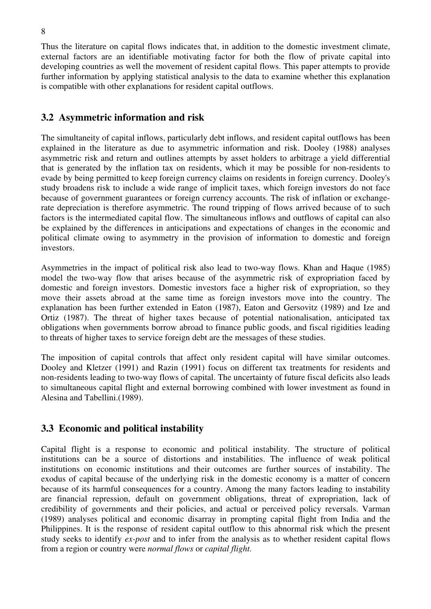Thus the literature on capital flows indicates that, in addition to the domestic investment climate, external factors are an identifiable motivating factor for both the flow of private capital into developing countries as well the movement of resident capital flows. This paper attempts to provide further information by applying statistical analysis to the data to examine whether this explanation is compatible with other explanations for resident capital outflows.

### **3.2 Asymmetric information and risk**

The simultaneity of capital inflows, particularly debt inflows, and resident capital outflows has been explained in the literature as due to asymmetric information and risk. Dooley (1988) analyses asymmetric risk and return and outlines attempts by asset holders to arbitrage a yield differential that is generated by the inflation tax on residents, which it may be possible for non-residents to evade by being permitted to keep foreign currency claims on residents in foreign currency. Dooley's study broadens risk to include a wide range of implicit taxes, which foreign investors do not face because of government guarantees or foreign currency accounts. The risk of inflation or exchangerate depreciation is therefore asymmetric. The round tripping of flows arrived because of to such factors is the intermediated capital flow. The simultaneous inflows and outflows of capital can also be explained by the differences in anticipations and expectations of changes in the economic and political climate owing to asymmetry in the provision of information to domestic and foreign investors.

Asymmetries in the impact of political risk also lead to two-way flows. Khan and Haque (1985) model the two-way flow that arises because of the asymmetric risk of expropriation faced by domestic and foreign investors. Domestic investors face a higher risk of expropriation, so they move their assets abroad at the same time as foreign investors move into the country. The explanation has been further extended in Eaton (1987), Eaton and Gersovitz (1989) and Ize and Ortiz (1987). The threat of higher taxes because of potential nationalisation, anticipated tax obligations when governments borrow abroad to finance public goods, and fiscal rigidities leading to threats of higher taxes to service foreign debt are the messages of these studies.

The imposition of capital controls that affect only resident capital will have similar outcomes. Dooley and Kletzer (1991) and Razin (1991) focus on different tax treatments for residents and non-residents leading to two-way flows of capital. The uncertainty of future fiscal deficits also leads to simultaneous capital flight and external borrowing combined with lower investment as found in Alesina and Tabellini.(1989).

### **3.3 Economic and political instability**

Capital flight is a response to economic and political instability. The structure of political institutions can be a source of distortions and instabilities. The influence of weak political institutions on economic institutions and their outcomes are further sources of instability. The exodus of capital because of the underlying risk in the domestic economy is a matter of concern because of its harmful consequences for a country. Among the many factors leading to instability are financial repression, default on government obligations, threat of expropriation, lack of credibility of governments and their policies, and actual or perceived policy reversals. Varman (1989) analyses political and economic disarray in prompting capital flight from India and the Philippines. It is the response of resident capital outflow to this abnormal risk which the present study seeks to identify *ex-post* and to infer from the analysis as to whether resident capital flows from a region or country were *normal flows* or *capital flight.*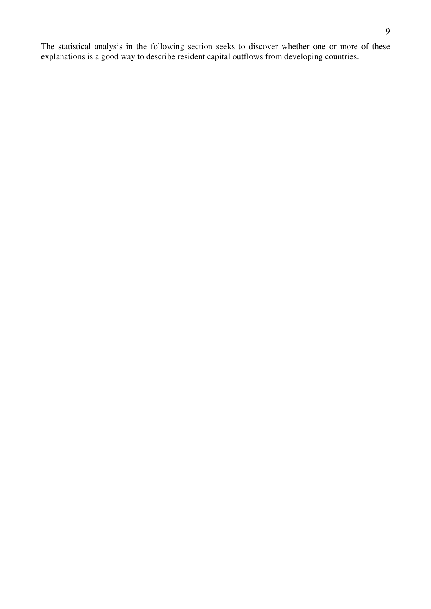The statistical analysis in the following section seeks to discover whether one or more of these explanations is a good way to describe resident capital outflows from developing countries.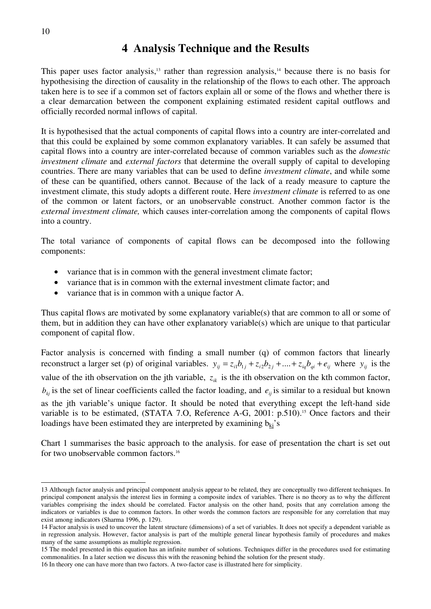### **4 Analysis Technique and the Results**

This paper uses factor analysis,<sup>13</sup> rather than regression analysis,<sup>14</sup> because there is no basis for hypothesising the direction of causality in the relationship of the flows to each other. The approach taken here is to see if a common set of factors explain all or some of the flows and whether there is a clear demarcation between the component explaining estimated resident capital outflows and officially recorded normal inflows of capital.

It is hypothesised that the actual components of capital flows into a country are inter-correlated and that this could be explained by some common explanatory variables. It can safely be assumed that capital flows into a country are inter-correlated because of common variables such as the *domestic investment climate* and *external factors* that determine the overall supply of capital to developing countries. There are many variables that can be used to define *investment climate*, and while some of these can be quantified, others cannot. Because of the lack of a ready measure to capture the investment climate, this study adopts a different route. Here *investment climate* is referred to as one of the common or latent factors, or an unobservable construct. Another common factor is the *external investment climate,* which causes inter-correlation among the components of capital flows into a country.

The total variance of components of capital flows can be decomposed into the following components:

- variance that is in common with the general investment climate factor;
- variance that is in common with the external investment climate factor; and
- variance that is in common with a unique factor A.

Thus capital flows are motivated by some explanatory variable(s) that are common to all or some of them, but in addition they can have other explanatory variable(s) which are unique to that particular component of capital flow.

Factor analysis is concerned with finding a small number (q) of common factors that linearly reconstruct a larger set (p) of original variables.  $y_{ij} = z_{i1}b_{1j} + z_{i2}b_{2j} + ... + z_{iq}b_{qi} + e_{ij}$  where  $y_{ij}$  is the value of the ith observation on the jth variable,  $z_{ik}$  is the ith observation on the kth common factor,  $b_k$  is the set of linear coefficients called the factor loading, and  $e_{ij}$  is similar to a residual but known as the jth variable's unique factor. It should be noted that everything except the left-hand side variable is to be estimated, (STATA 7.O, Reference A-G, 2001: p.510).<sup>15</sup> Once factors and their loadings have been estimated they are interpreted by examining  $b_{ki}$ 's

Chart 1 summarises the basic approach to the analysis. for ease of presentation the chart is set out for two unobservable common factors.16

<sup>13</sup> Although factor analysis and principal component analysis appear to be related, they are conceptually two different techniques. In principal component analysis the interest lies in forming a composite index of variables. There is no theory as to why the different variables comprising the index should be correlated. Factor analysis on the other hand, posits that any correlation among the indicators or variables is due to common factors. In other words the common factors are responsible for any correlation that may exist among indicators (Sharma 1996, p. 129).

<sup>14</sup> Factor analysis is used to uncover the latent structure (dimensions) of a set of variables. It does not specify a dependent variable as in regression analysis. However, factor analysis is part of the multiple general linear hypothesis family of procedures and makes many of the same assumptions as multiple regression.

<sup>15</sup> The model presented in this equation has an infinite number of solutions. Techniques differ in the procedures used for estimating commonalities. In a later section we discuss this with the reasoning behind the solution for the present study.

<sup>16</sup> In theory one can have more than two factors. A two-factor case is illustrated here for simplicity.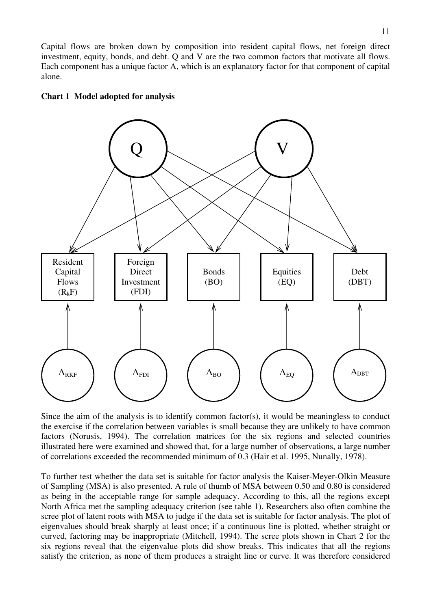Capital flows are broken down by composition into resident capital flows, net foreign direct investment, equity, bonds, and debt. Q and V are the two common factors that motivate all flows. Each component has a unique factor A, which is an explanatory factor for that component of capital alone.





Since the aim of the analysis is to identify common factor(s), it would be meaningless to conduct the exercise if the correlation between variables is small because they are unlikely to have common factors (Norusis, 1994). The correlation matrices for the six regions and selected countries illustrated here were examined and showed that, for a large number of observations, a large number of correlations exceeded the recommended minimum of 0.3 (Hair et al. 1995, Nunally, 1978).

To further test whether the data set is suitable for factor analysis the Kaiser-Meyer-Olkin Measure of Sampling (MSA) is also presented. A rule of thumb of MSA between 0.50 and 0.80 is considered as being in the acceptable range for sample adequacy. According to this, all the regions except North Africa met the sampling adequacy criterion (see table 1). Researchers also often combine the scree plot of latent roots with MSA to judge if the data set is suitable for factor analysis. The plot of eigenvalues should break sharply at least once; if a continuous line is plotted, whether straight or curved, factoring may be inappropriate (Mitchell, 1994). The scree plots shown in Chart 2 for the six regions reveal that the eigenvalue plots did show breaks. This indicates that all the regions satisfy the criterion, as none of them produces a straight line or curve. It was therefore considered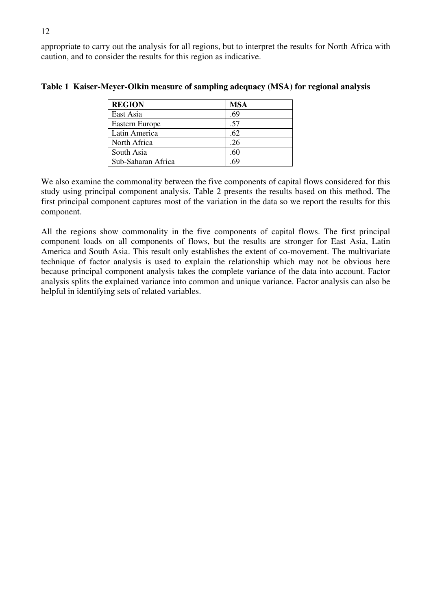appropriate to carry out the analysis for all regions, but to interpret the results for North Africa with caution, and to consider the results for this region as indicative.

| <b>REGION</b>         | <b>MSA</b> |
|-----------------------|------------|
| East Asia             | .69        |
| <b>Eastern Europe</b> | .57        |
| Latin America         | .62        |
| North Africa          | .26        |
| South Asia            | -66        |
| Sub-Saharan Africa    |            |

**Table 1 Kaiser-Meyer-Olkin measure of sampling adequacy (MSA) for regional analysis** 

We also examine the commonality between the five components of capital flows considered for this study using principal component analysis. Table 2 presents the results based on this method. The first principal component captures most of the variation in the data so we report the results for this component.

All the regions show commonality in the five components of capital flows. The first principal component loads on all components of flows, but the results are stronger for East Asia, Latin America and South Asia. This result only establishes the extent of co-movement. The multivariate technique of factor analysis is used to explain the relationship which may not be obvious here because principal component analysis takes the complete variance of the data into account. Factor analysis splits the explained variance into common and unique variance. Factor analysis can also be helpful in identifying sets of related variables.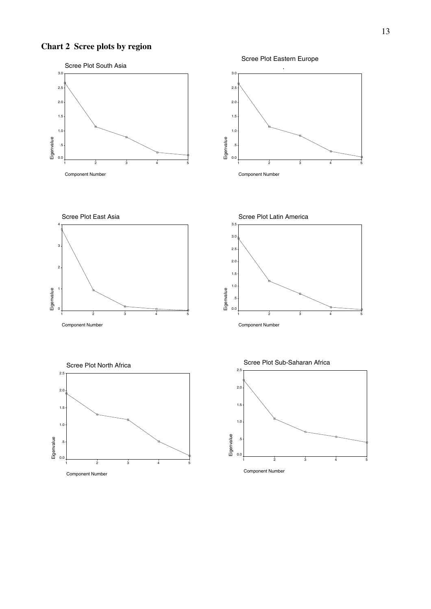### **Chart 2 Scree plots by region**

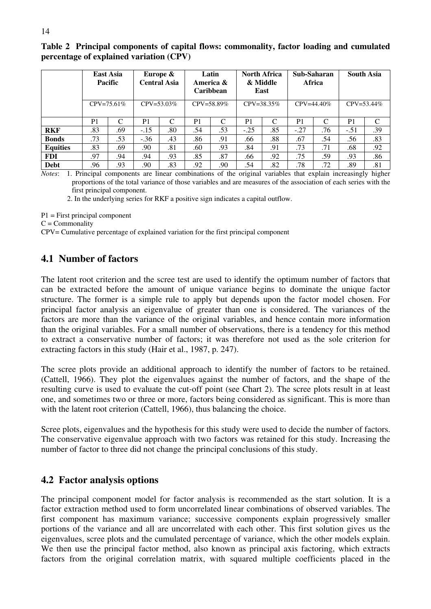|                 | East Asia<br>Pacific |                 |                | Europe &<br><b>Central Asia</b> |                | Latin<br>America &<br><b>Caribbean</b> |                | <b>North Africa</b><br>& Middle<br>East |        | Sub-Saharan<br>Africa |                | <b>South Asia</b> |
|-----------------|----------------------|-----------------|----------------|---------------------------------|----------------|----------------------------------------|----------------|-----------------------------------------|--------|-----------------------|----------------|-------------------|
|                 |                      | $CPV = 75.61\%$ |                | $CPV = 53.03\%$                 |                | $CPV = 58.89\%$                        |                | $CPV = 38.35\%$                         |        | $CPV = 44.40\%$       |                | $CPV = 53.44\%$   |
|                 | P <sub>1</sub>       | ⌒               | P <sub>1</sub> | C                               | P <sub>1</sub> | C                                      | P <sub>1</sub> | C                                       | P1     | ⌒                     | P <sub>1</sub> | C                 |
| <b>RKF</b>      | .83                  | .69             | $-.15$         | .80                             | .54            | .53                                    | $-.25$         | .85                                     | $-.27$ | .76                   | $-.51$         | .39               |
| <b>Bonds</b>    | .73                  | .53             | $-.36$         | .43                             | .86            | .91                                    | .66            | .88                                     | .67    | .54                   | .56            | .83               |
| <b>Equities</b> | .83                  | .69             | .90            | .81                             | .60            | .93                                    | .84            | .91                                     | .73    | .71                   | .68            | .92               |
| <b>FDI</b>      | .97                  | .94             | .94            | .93                             | .85            | .87                                    | .66            | .92                                     | .75    | .59                   | .93            | .86               |
| Debt            | .96                  | .93             | .90            | .83                             | .92            | .90                                    | .54            | .82                                     | .78    | .72                   | .89            | .81               |

#### **Table 2 Principal components of capital flows: commonality, factor loading and cumulated percentage of explained variation (CPV)**

*Notes*: 1. Principal components are linear combinations of the original variables that explain increasingly higher proportions of the total variance of those variables and are measures of the association of each series with the first principal component.

2. In the underlying series for RKF a positive sign indicates a capital outflow.

 $P1 =$  First principal component

 $C =$ Commonality

CPV= Cumulative percentage of explained variation for the first principal component

#### **4.1 Number of factors**

The latent root criterion and the scree test are used to identify the optimum number of factors that can be extracted before the amount of unique variance begins to dominate the unique factor structure. The former is a simple rule to apply but depends upon the factor model chosen. For principal factor analysis an eigenvalue of greater than one is considered. The variances of the factors are more than the variance of the original variables, and hence contain more information than the original variables. For a small number of observations, there is a tendency for this method to extract a conservative number of factors; it was therefore not used as the sole criterion for extracting factors in this study (Hair et al., 1987, p. 247).

The scree plots provide an additional approach to identify the number of factors to be retained. (Cattell, 1966). They plot the eigenvalues against the number of factors, and the shape of the resulting curve is used to evaluate the cut-off point (see Chart 2). The scree plots result in at least one, and sometimes two or three or more, factors being considered as significant. This is more than with the latent root criterion (Cattell, 1966), thus balancing the choice.

Scree plots, eigenvalues and the hypothesis for this study were used to decide the number of factors. The conservative eigenvalue approach with two factors was retained for this study. Increasing the number of factor to three did not change the principal conclusions of this study.

#### **4.2 Factor analysis options**

The principal component model for factor analysis is recommended as the start solution. It is a factor extraction method used to form uncorrelated linear combinations of observed variables. The first component has maximum variance; successive components explain progressively smaller portions of the variance and all are uncorrelated with each other. This first solution gives us the eigenvalues, scree plots and the cumulated percentage of variance, which the other models explain. We then use the principal factor method, also known as principal axis factoring, which extracts factors from the original correlation matrix, with squared multiple coefficients placed in the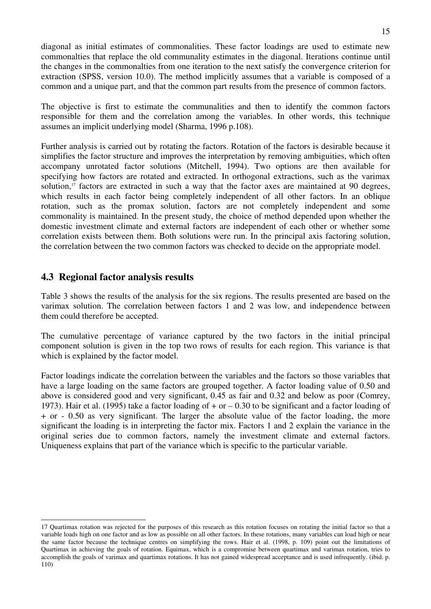diagonal as initial estimates of commonalities. These factor loadings are used to estimate new commonalties that replace the old communality estimates in the diagonal. Iterations continue until the changes in the commonalties from one iteration to the next satisfy the convergence criterion for extraction (SPSS, version 10.0). The method implicitly assumes that a variable is composed of a common and a unique part, and that the common part results from the presence of common factors.

The objective is first to estimate the communalities and then to identify the common factors responsible for them and the correlation among the variables. In other words, this technique assumes an implicit underlying model (Sharma, 1996 p.108).

Further analysis is carried out by rotating the factors. Rotation of the factors is desirable because it simplifies the factor structure and improves the interpretation by removing ambiguities, which often accompany unrotated factor solutions (Mitchell, 1994). Two options are then available for specifying how factors are rotated and extracted. In orthogonal extractions, such as the varimax solution,<sup>17</sup> factors are extracted in such a way that the factor axes are maintained at 90 degrees, which results in each factor being completely independent of all other factors. In an oblique rotation, such as the promax solution, factors are not completely independent and some commonality is maintained. In the present study, the choice of method depended upon whether the domestic investment climate and external factors are independent of each other or whether some correlation exists between them. Both solutions were run. In the principal axis factoring solution, the correlation between the two common factors was checked to decide on the appropriate model.

#### **4.3 Regional factor analysis results**

Table 3 shows the results of the analysis for the six regions. The results presented are based on the varimax solution. The correlation between factors 1 and 2 was low, and independence between them could therefore be accepted.

The cumulative percentage of variance captured by the two factors in the initial principal component solution is given in the top two rows of results for each region. This variance is that which is explained by the factor model.

Factor loadings indicate the correlation between the variables and the factors so those variables that have a large loading on the same factors are grouped together. A factor loading value of 0.50 and above is considered good and very significant, 0.45 as fair and 0.32 and below as poor (Comrey, 1973). Hair et al. (1995) take a factor loading of  $+$  or  $-$  0.30 to be significant and a factor loading of + or - 0.50 as very significant. The larger the absolute value of the factor loading, the more significant the loading is in interpreting the factor mix. Factors 1 and 2 explain the variance in the original series due to common factors, namely the investment climate and external factors. Uniqueness explains that part of the variance which is specific to the particular variable.

<sup>17</sup> Quartimax rotation was rejected for the purposes of this research as this rotation focuses on rotating the initial factor so that a variable loads high on one factor and as low as possible on all other factors. In these rotations, many variables can load high or near the same factor because the technique centres on simplifying the rows. Hair et al. (1998, p. 109) point out the limitations of Quartimax in achieving the goals of rotation. Equimax, which is a compromise between quartimax and varimax rotation, tries to accomplish the goals of varimax and quartimax rotations. It has not gained widespread acceptance and is used infrequently. (ibid. p. 110)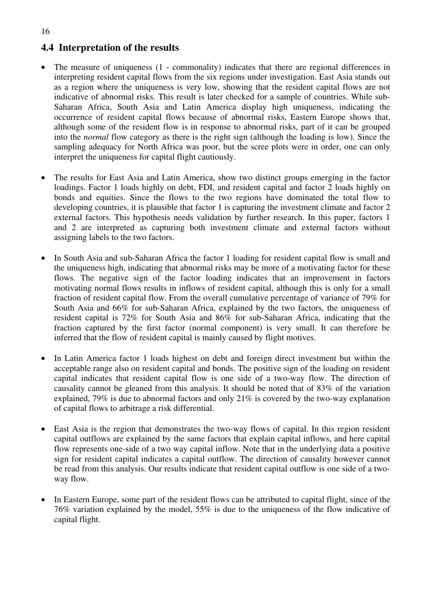### **4.4 Interpretation of the results**

- The measure of uniqueness (1 commonality) indicates that there are regional differences in interpreting resident capital flows from the six regions under investigation. East Asia stands out as a region where the uniqueness is very low, showing that the resident capital flows are not indicative of abnormal risks. This result is later checked for a sample of countries. While sub-Saharan Africa, South Asia and Latin America display high uniqueness, indicating the occurrence of resident capital flows because of abnormal risks, Eastern Europe shows that, although some of the resident flow is in response to abnormal risks, part of it can be grouped into the *normal* flow category as there is the right sign (although the loading is low). Since the sampling adequacy for North Africa was poor, but the scree plots were in order, one can only interpret the uniqueness for capital flight cautiously.
- The results for East Asia and Latin America, show two distinct groups emerging in the factor loadings. Factor 1 loads highly on debt, FDI, and resident capital and factor 2 loads highly on bonds and equities. Since the flows to the two regions have dominated the total flow to developing countries, it is plausible that factor 1 is capturing the investment climate and factor 2 external factors. This hypothesis needs validation by further research. In this paper, factors 1 and 2 are interpreted as capturing both investment climate and external factors without assigning labels to the two factors.
- In South Asia and sub-Saharan Africa the factor 1 loading for resident capital flow is small and the uniqueness high, indicating that abnormal risks may be more of a motivating factor for these flows. The negative sign of the factor loading indicates that an improvement in factors motivating normal flows results in inflows of resident capital, although this is only for a small fraction of resident capital flow. From the overall cumulative percentage of variance of 79% for South Asia and 66% for sub-Saharan Africa, explained by the two factors, the uniqueness of resident capital is 72% for South Asia and 86% for sub-Saharan Africa, indicating that the fraction captured by the first factor (normal component) is very small. It can therefore be inferred that the flow of resident capital is mainly caused by flight motives.
- In Latin America factor 1 loads highest on debt and foreign direct investment but within the acceptable range also on resident capital and bonds. The positive sign of the loading on resident capital indicates that resident capital flow is one side of a two-way flow. The direction of causality cannot be gleaned from this analysis. It should be noted that of 83% of the variation explained, 79% is due to abnormal factors and only 21% is covered by the two-way explanation of capital flows to arbitrage a risk differential.
- East Asia is the region that demonstrates the two-way flows of capital. In this region resident capital outflows are explained by the same factors that explain capital inflows, and here capital flow represents one-side of a two way capital inflow. Note that in the underlying data a positive sign for resident capital indicates a capital outflow. The direction of causality however cannot be read from this analysis. Our results indicate that resident capital outflow is one side of a twoway flow.
- In Eastern Europe, some part of the resident flows can be attributed to capital flight, since of the 76% variation explained by the model, 55% is due to the uniqueness of the flow indicative of capital flight.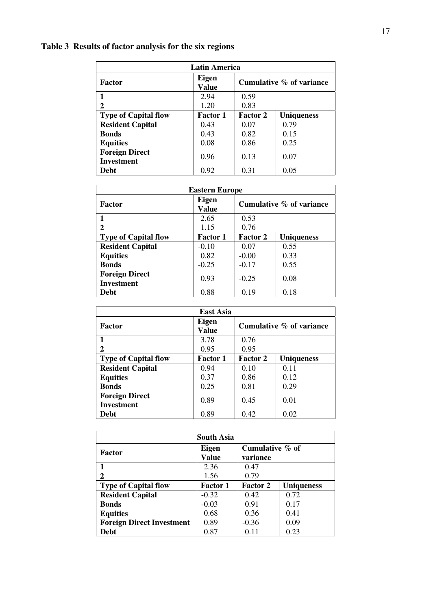## **Table 3 Results of factor analysis for the six regions**

| <b>Latin America</b>                       |                       |                          |                   |  |  |  |
|--------------------------------------------|-----------------------|--------------------------|-------------------|--|--|--|
| <b>Factor</b>                              | <b>Eigen</b><br>Value | Cumulative % of variance |                   |  |  |  |
| 1                                          | 2.94                  | 0.59                     |                   |  |  |  |
| 2                                          | 1.20                  | 0.83                     |                   |  |  |  |
| <b>Type of Capital flow</b>                | <b>Factor 1</b>       | <b>Factor 2</b>          | <b>Uniqueness</b> |  |  |  |
| <b>Resident Capital</b>                    | 0.43                  | 0.07                     | 0.79              |  |  |  |
| <b>Bonds</b>                               | 0.43                  | 0.82                     | 0.15              |  |  |  |
| <b>Equities</b>                            | 0.08                  | 0.86                     | 0.25              |  |  |  |
| <b>Foreign Direct</b><br><b>Investment</b> | 0.96                  | 0.13                     | 0.07              |  |  |  |
| Debt                                       | 0.92                  | 0.31                     | 0.05              |  |  |  |

| <b>Eastern Europe</b>                      |                              |                          |                   |  |  |
|--------------------------------------------|------------------------------|--------------------------|-------------------|--|--|
| <b>Factor</b>                              | <b>Eigen</b><br><b>Value</b> | Cumulative % of variance |                   |  |  |
|                                            | 2.65                         | 0.53                     |                   |  |  |
| 2                                          | 1.15                         | 0.76                     |                   |  |  |
| <b>Type of Capital flow</b>                | <b>Factor 1</b>              | <b>Factor 2</b>          | <b>Uniqueness</b> |  |  |
| <b>Resident Capital</b>                    | $-0.10$                      | 0.07                     | 0.55              |  |  |
| <b>Equities</b>                            | 0.82                         | $-0.00$                  | 0.33              |  |  |
| <b>Bonds</b>                               | $-0.25$                      | $-0.17$                  | 0.55              |  |  |
| <b>Foreign Direct</b><br><b>Investment</b> | 0.93                         | $-0.25$                  | 0.08              |  |  |
| <b>Debt</b>                                | 0.88                         | 0.19                     | 0.18              |  |  |

| <b>East Asia</b>                           |                       |                          |                   |  |  |
|--------------------------------------------|-----------------------|--------------------------|-------------------|--|--|
| Factor                                     | <b>Eigen</b><br>Value | Cumulative % of variance |                   |  |  |
|                                            | 3.78                  | 0.76                     |                   |  |  |
| 2                                          | 0.95                  | 0.95                     |                   |  |  |
| <b>Type of Capital flow</b>                | <b>Factor 1</b>       | <b>Factor 2</b>          | <b>Uniqueness</b> |  |  |
| <b>Resident Capital</b>                    | 0.94                  | 0.10                     | 0.11              |  |  |
| <b>Equities</b>                            | 0.37                  | 0.86                     | 0.12              |  |  |
| <b>Bonds</b>                               | 0.25                  | 0.81                     | 0.29              |  |  |
| <b>Foreign Direct</b><br><b>Investment</b> | 0.89                  | 0.45                     | 0.01              |  |  |
| <b>Debt</b>                                | 0.89                  | 0.42                     | 0.02              |  |  |

| South Asia                       |                              |                                |                   |  |  |
|----------------------------------|------------------------------|--------------------------------|-------------------|--|--|
| <b>Factor</b>                    | <b>Eigen</b><br><b>Value</b> | Cumulative $\%$ of<br>variance |                   |  |  |
| 1                                | 2.36                         | 0.47                           |                   |  |  |
| 2                                | 1.56                         | 0.79                           |                   |  |  |
| <b>Type of Capital flow</b>      | <b>Factor 1</b>              | <b>Factor 2</b>                | <b>Uniqueness</b> |  |  |
| <b>Resident Capital</b>          | $-0.32$                      | 0.42                           | 0.72              |  |  |
| <b>Bonds</b>                     | $-0.03$                      | 0.91                           | 0.17              |  |  |
| <b>Equities</b>                  | 0.68                         | 0.36                           | 0.41              |  |  |
| <b>Foreign Direct Investment</b> | 0.89                         | $-0.36$                        | 0.09              |  |  |
| <b>Debt</b>                      | 0.87                         | 0.11                           | 0.23              |  |  |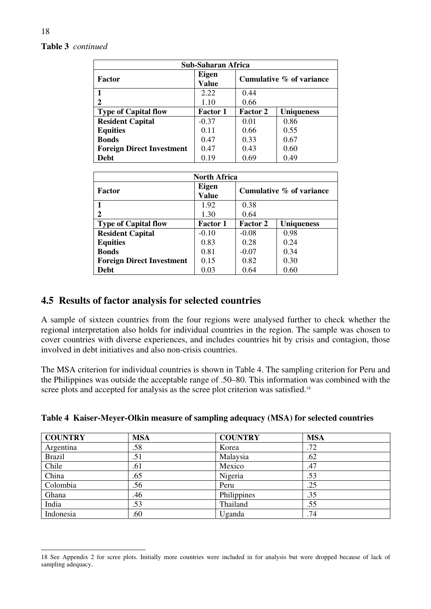#### **Table 3** *continued*

| Sub-Saharan Africa               |                              |                          |                   |  |  |
|----------------------------------|------------------------------|--------------------------|-------------------|--|--|
| Factor                           | <b>Eigen</b><br><b>Value</b> | Cumulative % of variance |                   |  |  |
| 1                                | 2.22                         | 0.44                     |                   |  |  |
| 2                                | 1.10                         | 0.66                     |                   |  |  |
| <b>Type of Capital flow</b>      | <b>Factor 1</b>              | <b>Factor 2</b>          | <b>Uniqueness</b> |  |  |
| <b>Resident Capital</b>          | $-0.37$                      | 0.01                     | 0.86              |  |  |
| <b>Equities</b>                  | 0.11                         | 0.66                     | 0.55              |  |  |
| <b>Bonds</b>                     | 0.47                         | 0.33                     | 0.67              |  |  |
| <b>Foreign Direct Investment</b> | 0.47                         | 0.43                     | 0.60              |  |  |
| <b>Debt</b>                      | 0.19                         | 0.69                     | 0.49              |  |  |

| <b>North Africa</b>              |                       |                          |                   |  |
|----------------------------------|-----------------------|--------------------------|-------------------|--|
| Factor                           | Eigen<br><b>Value</b> | Cumulative % of variance |                   |  |
|                                  | 1.92                  | 0.38                     |                   |  |
|                                  | 1.30                  | 0.64                     |                   |  |
| <b>Type of Capital flow</b>      | <b>Factor 1</b>       | <b>Factor 2</b>          | <b>Uniqueness</b> |  |
| <b>Resident Capital</b>          | $-0.10$               | $-0.08$                  | 0.98              |  |
| <b>Equities</b>                  | 0.83                  | 0.28                     | 0.24              |  |
| <b>Bonds</b>                     | 0.81                  | $-0.07$                  | 0.34              |  |
| <b>Foreign Direct Investment</b> | 0.15                  | 0.82                     | 0.30              |  |
| Debt                             | 0.03                  | 0.64                     | 0.60              |  |

#### **4.5 Results of factor analysis for selected countries**

A sample of sixteen countries from the four regions were analysed further to check whether the regional interpretation also holds for individual countries in the region. The sample was chosen to cover countries with diverse experiences, and includes countries hit by crisis and contagion, those involved in debt initiatives and also non-crisis countries.

The MSA criterion for individual countries is shown in Table 4. The sampling criterion for Peru and the Philippines was outside the acceptable range of .50–80. This information was combined with the scree plots and accepted for analysis as the scree plot criterion was satisfied.<sup>18</sup>

| <b>COUNTRY</b> | <b>MSA</b> | <b>COUNTRY</b> | <b>MSA</b> |
|----------------|------------|----------------|------------|
| Argentina      | .58        | Korea          | .72        |
| <b>Brazil</b>  | .51        | Malaysia       | .62        |
| Chile          | .61        | Mexico         | .47        |
| China          | .65        | Nigeria        | .53        |
| Colombia       | .56        | Peru           | .25        |
| Ghana          | .46        | Philippines    | .35        |
| India          | .53        | Thailand       | .55        |
| Indonesia      | .60        | Uganda         | .74        |

#### **Table 4 Kaiser-Meyer-Olkin measure of sampling adequacy (MSA) for selected countries**

<sup>18</sup> See Appendix 2 for scree plots. Initially more countries were included in for analysis but were dropped because of lack of sampling adequacy.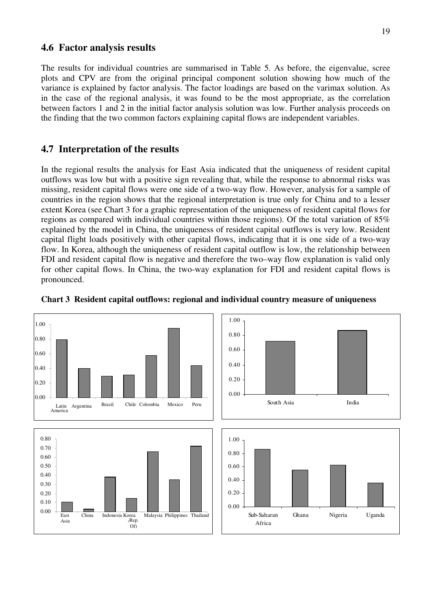#### **4.6 Factor analysis results**

The results for individual countries are summarised in Table 5. As before, the eigenvalue, scree plots and CPV are from the original principal component solution showing how much of the variance is explained by factor analysis. The factor loadings are based on the varimax solution. As in the case of the regional analysis, it was found to be the most appropriate, as the correlation between factors 1 and 2 in the initial factor analysis solution was low. Further analysis proceeds on the finding that the two common factors explaining capital flows are independent variables.

#### **4.7 Interpretation of the results**

In the regional results the analysis for East Asia indicated that the uniqueness of resident capital outflows was low but with a positive sign revealing that, while the response to abnormal risks was missing, resident capital flows were one side of a two-way flow. However, analysis for a sample of countries in the region shows that the regional interpretation is true only for China and to a lesser extent Korea (see Chart 3 for a graphic representation of the uniqueness of resident capital flows for regions as compared with individual countries within those regions). Of the total variation of 85% explained by the model in China, the uniqueness of resident capital outflows is very low. Resident capital flight loads positively with other capital flows, indicating that it is one side of a two-way flow. In Korea, although the uniqueness of resident capital outflow is low, the relationship between FDI and resident capital flow is negative and therefore the two–way flow explanation is valid only for other capital flows. In China, the two-way explanation for FDI and resident capital flows is pronounced.



#### **Chart 3 Resident capital outflows: regional and individual country measure of uniqueness**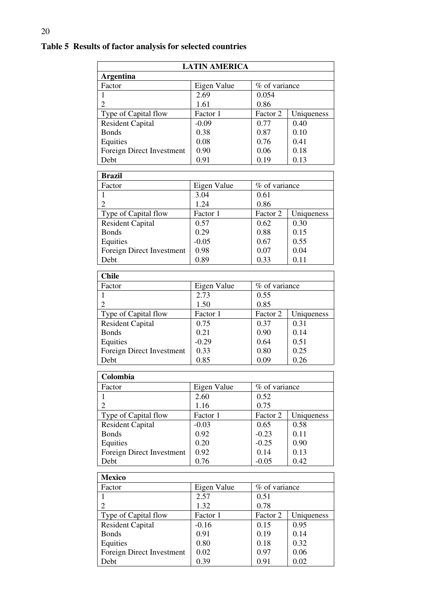| <b>LATIN AMERICA</b>      |             |               |            |  |  |  |
|---------------------------|-------------|---------------|------------|--|--|--|
| <b>Argentina</b>          |             |               |            |  |  |  |
| Factor                    | Eigen Value | % of variance |            |  |  |  |
| $\mathbf{1}$              | 2.69        | 0.054         |            |  |  |  |
| $\overline{2}$            | 1.61        | 0.86          |            |  |  |  |
| Type of Capital flow      | Factor 1    | Factor 2      | Uniqueness |  |  |  |
| <b>Resident Capital</b>   | $-0.09$     | 0.77          | 0.40       |  |  |  |
| <b>Bonds</b>              | 0.38        | 0.87          | 0.10       |  |  |  |
| Equities                  | 0.08        | 0.76          | 0.41       |  |  |  |
| Foreign Direct Investment | 0.90        | 0.06          | 0.18       |  |  |  |
| Debt                      | 0.91        | 0.19          | 0.13       |  |  |  |
|                           |             |               |            |  |  |  |
| <b>Brazil</b>             |             |               |            |  |  |  |
| Factor                    | Eigen Value | % of variance |            |  |  |  |
| $\mathbf{1}$              | 3.04        | 0.61          |            |  |  |  |
| $\overline{2}$            | 1.24        | 0.86          |            |  |  |  |
| Type of Capital flow      | Factor 1    | Factor 2      | Uniqueness |  |  |  |
| <b>Resident Capital</b>   | 0.57        | 0.62          | 0.30       |  |  |  |
| <b>Bonds</b>              | 0.29        | 0.88          | 0.15       |  |  |  |
| Equities                  | $-0.05$     | 0.67          | 0.55       |  |  |  |
| Foreign Direct Investment | 0.98        | 0.07          | 0.04       |  |  |  |
| Debt                      | 0.89        | 0.33          | 0.11       |  |  |  |
| <b>Chile</b>              |             |               |            |  |  |  |
|                           |             |               |            |  |  |  |
| Factor                    | Eigen Value | % of variance |            |  |  |  |
| $\mathbf{1}$              | 2.73        | 0.55          |            |  |  |  |
| $\overline{2}$            | 1.50        | 0.85          |            |  |  |  |
| Type of Capital flow      | Factor 1    | Factor 2      | Uniqueness |  |  |  |
| <b>Resident Capital</b>   | 0.75        | 0.37          | 0.31       |  |  |  |
| <b>Bonds</b>              | 0.21        | 0.90          | 0.14       |  |  |  |
| Equities                  | $-0.29$     | 0.64          | 0.51       |  |  |  |
| Foreign Direct Investment | 0.33        | 0.80          | 0.25       |  |  |  |
| Debt                      | 0.85        | 0.09          | 0.26       |  |  |  |
|                           |             |               |            |  |  |  |
| Colombia                  |             |               |            |  |  |  |
| Factor                    | Eigen Value | % of variance |            |  |  |  |
| 1                         | 2.60        | 0.52          |            |  |  |  |
| $\overline{2}$            | 1.16        | 0.75          |            |  |  |  |
| Type of Capital flow      | Factor 1    | Factor 2      | Uniqueness |  |  |  |
| <b>Resident Capital</b>   | $-0.03$     | 0.65          | 0.58       |  |  |  |

### **Table 5 Results of factor analysis for selected countries**

| <b>Mexico</b>             |             |               |            |  |  |
|---------------------------|-------------|---------------|------------|--|--|
| Factor                    | Eigen Value | % of variance |            |  |  |
|                           | 2.57        | 0.51          |            |  |  |
| 2                         | 1.32        | 0.78          |            |  |  |
| Type of Capital flow      | Factor 1    | Factor 2      | Uniqueness |  |  |
| <b>Resident Capital</b>   | $-0.16$     | 0.15          | 0.95       |  |  |
| <b>Bonds</b>              | 0.91        | 0.19          | 0.14       |  |  |
| Equities                  | 0.80        | 0.18          | 0.32       |  |  |
| Foreign Direct Investment | 0.02        | 0.97          | 0.06       |  |  |
| Debt                      | 0.39        | 0.91          | 0.02       |  |  |

Bonds | 0.92 | -0.23 | 0.11

Equities<br>
Foreign Direct Investment<br>
0.20 -0.25 0.90<br>
0.14 0.13<br>
Debt<br>
0.76 -0.05<br>
0.42 Foreign Direct Investment  $\begin{bmatrix} 0.92 \\ 0.76 \end{bmatrix}$   $\begin{bmatrix} 0.14 \\ -0.05 \end{bmatrix}$   $\begin{bmatrix} 0.13 \\ 0.42 \end{bmatrix}$ Debt 0.76  $\big| 0.76 \big|$  -0.05  $\big| 0.42 \big|$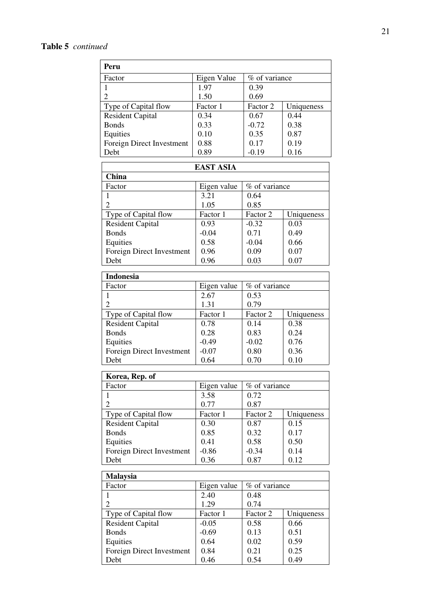| Peru                      |                       |               |            |  |
|---------------------------|-----------------------|---------------|------------|--|
| Factor                    | Eigen Value           | % of variance |            |  |
| $\mathbf{1}$              | 1.97                  | 0.39          |            |  |
| $\overline{2}$            | 1.50                  | 0.69          |            |  |
| Type of Capital flow      | Factor 1              | Factor 2      | Uniqueness |  |
| <b>Resident Capital</b>   | 0.34                  | 0.67          | 0.44       |  |
| <b>Bonds</b>              | 0.33                  | $-0.72$       | 0.38       |  |
| Equities                  | 0.10                  | 0.35          | 0.87       |  |
| Foreign Direct Investment | 0.88                  | 0.17          | 0.19       |  |
| Debt                      | 0.89                  | $-0.19$       | 0.16       |  |
|                           | <b>EAST ASIA</b>      |               |            |  |
| China                     |                       |               |            |  |
| Factor                    | Eigen value           | % of variance |            |  |
| 1                         | 3.21                  | 0.64          |            |  |
| $\overline{2}$            | 1.05                  | 0.85          |            |  |
| Type of Capital flow      | Factor $\overline{1}$ | Factor 2      | Uniqueness |  |
| <b>Resident Capital</b>   | 0.93                  | $-0.32$       | 0.03       |  |
| <b>Bonds</b>              | $-0.04$               | 0.71          | 0.49       |  |
| Equities                  | 0.58                  | $-0.04$       | 0.66       |  |
| Foreign Direct Investment | 0.96                  | 0.09          | 0.07       |  |
| Debt                      | 0.96                  | 0.03          | 0.07       |  |
| <b>Indonesia</b>          |                       |               |            |  |
| Factor                    | Eigen value           | % of variance |            |  |
| $\mathbf{1}$              | 2.67                  | 0.53          |            |  |
| $\overline{2}$            | 1.31                  | 0.79          |            |  |
| Type of Capital flow      | Factor 1              | Factor 2      | Uniqueness |  |
| Resident Capital          | 0.78                  | 0.14          | 0.38       |  |
| <b>Bonds</b>              | 0.28                  | 0.83          | 0.24       |  |
| Equities                  | $-0.49$               | $-0.02$       | 0.76       |  |
| Foreign Direct Investment | $-0.07$               | 0.80          | 0.36       |  |
| Debt                      | 0.64                  | 0.70          | 0.10       |  |
| Korea, Rep. of            |                       |               |            |  |
| Factor                    | Eigen value           | % of variance |            |  |
| 1                         | 3.58                  | 0.72          |            |  |
| $\overline{2}$            | 0.77                  | 0.87          |            |  |
| Type of Capital flow      | Factor 1              | Factor 2      | Uniqueness |  |
| <b>Resident Capital</b>   | 0.30                  | 0.87          | 0.15       |  |
| <b>Bonds</b>              | 0.85                  | 0.32          | 0.17       |  |
| Equities                  | 0.41                  | 0.58          | 0.50       |  |
| Foreign Direct Investment | $-0.86$               | $-0.34$       | 0.14       |  |
| Debt                      | 0.36                  | 0.87          | 0.12       |  |
| <b>Malaysia</b>           |                       |               |            |  |
| Factor                    | Eigen value           | % of variance |            |  |
| 1                         | 2.40                  | 0.48          |            |  |
| $\overline{2}$            | 1.29                  | 0.74          |            |  |
| Type of Capital flow      | Factor 1              | Factor 2      | Uniqueness |  |
| <b>Resident Capital</b>   | $-0.05$               | 0.58          | 0.66       |  |
| <b>Bonds</b>              | $-0.69$               | 0.13          | 0.51       |  |
| Equities                  | 0.64                  | 0.02          | 0.59       |  |
| Foreign Direct Investment | 0.84                  | 0.21          | 0.25       |  |
| Debt                      | 0.46                  | 0.54          | 0.49       |  |
|                           |                       |               |            |  |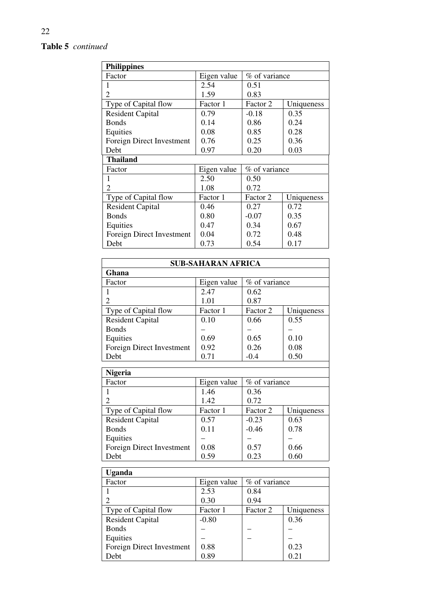### **Table 5** *continued*

| <b>Philippines</b>        |             |               |            |  |  |
|---------------------------|-------------|---------------|------------|--|--|
| Factor                    | Eigen value | % of variance |            |  |  |
|                           | 2.54        | 0.51          |            |  |  |
| $\overline{c}$            | 1.59        | 0.83          |            |  |  |
| Type of Capital flow      | Factor 1    | Factor 2      | Uniqueness |  |  |
| <b>Resident Capital</b>   | 0.79        | $-0.18$       | 0.35       |  |  |
| <b>Bonds</b>              | 0.14        | 0.86          | 0.24       |  |  |
| Equities                  | 0.08        | 0.85          | 0.28       |  |  |
| Foreign Direct Investment | 0.76        | 0.25          | 0.36       |  |  |
| Debt                      | 0.97        | 0.20          | 0.03       |  |  |
| <b>Thailand</b>           |             |               |            |  |  |
| Factor                    | Eigen value | % of variance |            |  |  |
| 1                         | 2.50        | 0.50          |            |  |  |
| 2                         | 1.08        | 0.72          |            |  |  |
| Type of Capital flow      | Factor 1    | Factor 2      | Uniqueness |  |  |
| <b>Resident Capital</b>   | 0.46        | 0.27          | 0.72       |  |  |
| <b>Bonds</b>              | 0.80        | $-0.07$       | 0.35       |  |  |
| Equities                  | 0.47        | 0.34          | 0.67       |  |  |
| Foreign Direct Investment | 0.04        | 0.72          | 0.48       |  |  |
| Debt                      | 0.73        | 0.54          | 0.17       |  |  |

| <b>SUB-SAHARAN AFRICA</b> |             |                |            |  |  |
|---------------------------|-------------|----------------|------------|--|--|
| Ghana                     |             |                |            |  |  |
| Factor                    | Eigen value | % of variance  |            |  |  |
| 1                         | 2.47        | 0.62           |            |  |  |
| 2                         | 1.01        | 0.87           |            |  |  |
| Type of Capital flow      | Factor 1    | Factor 2       | Uniqueness |  |  |
| <b>Resident Capital</b>   | 0.10        | 0.66           | 0.55       |  |  |
| <b>Bonds</b>              |             |                |            |  |  |
| Equities                  | 0.69        | 0.65           | 0.10       |  |  |
| Foreign Direct Investment | 0.92        | 0.26           | 0.08       |  |  |
| Debt                      | 0.71        | $-0.4$<br>0.50 |            |  |  |
|                           |             |                |            |  |  |
| <b>Nigeria</b>            |             |                |            |  |  |
| Factor                    | Eigen value | % of variance  |            |  |  |
| 1                         | 1.46        | 0.36           |            |  |  |
| $\overline{c}$            | 1.42        | 0.72           |            |  |  |
| Type of Capital flow      | Factor 1    | Factor 2       | Uniqueness |  |  |
| <b>Resident Capital</b>   | 0.57        | $-0.23$        | 0.63       |  |  |
| <b>Bonds</b>              | 0.11        | $-0.46$        | 0.78       |  |  |
| Equities                  |             |                |            |  |  |
| Foreign Direct Investment | 0.08        | 0.57           | 0.66       |  |  |
| Debt                      | 0.59        | 0.23           | 0.60       |  |  |
|                           |             |                |            |  |  |
| <b>Uganda</b>             |             |                |            |  |  |

| <u>Ugaliua</u>            |             |               |            |  |  |  |
|---------------------------|-------------|---------------|------------|--|--|--|
| Factor                    | Eigen value | % of variance |            |  |  |  |
|                           | 2.53        | 0.84          |            |  |  |  |
|                           | 0.30        | 0.94          |            |  |  |  |
| Type of Capital flow      | Factor 1    | Factor 2      | Uniqueness |  |  |  |
| <b>Resident Capital</b>   | $-0.80$     |               | 0.36       |  |  |  |
| <b>Bonds</b>              |             |               |            |  |  |  |
| Equities                  |             |               |            |  |  |  |
| Foreign Direct Investment | 0.88        |               | 0.23       |  |  |  |
| Debt                      | 0.89        |               | 0.21       |  |  |  |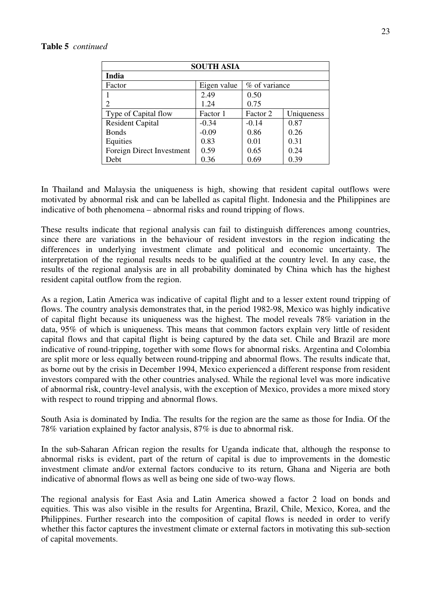| <b>SOUTH ASIA</b>                      |          |          |            |  |  |
|----------------------------------------|----------|----------|------------|--|--|
| India                                  |          |          |            |  |  |
| % of variance<br>Eigen value<br>Factor |          |          |            |  |  |
|                                        | 2.49     | 0.50     |            |  |  |
| 2                                      | 1.24     | 0.75     |            |  |  |
| Type of Capital flow                   | Factor 1 | Factor 2 | Uniqueness |  |  |
| <b>Resident Capital</b>                | $-0.34$  | $-0.14$  | 0.87       |  |  |
| <b>Bonds</b>                           | $-0.09$  | 0.86     | 0.26       |  |  |
| Equities                               | 0.83     | 0.01     | 0.31       |  |  |
| Foreign Direct Investment              | 0.59     | 0.65     | 0.24       |  |  |
| Debt                                   | 0.36     | 0.69     | 0.39       |  |  |

In Thailand and Malaysia the uniqueness is high, showing that resident capital outflows were motivated by abnormal risk and can be labelled as capital flight. Indonesia and the Philippines are indicative of both phenomena – abnormal risks and round tripping of flows.

These results indicate that regional analysis can fail to distinguish differences among countries, since there are variations in the behaviour of resident investors in the region indicating the differences in underlying investment climate and political and economic uncertainty. The interpretation of the regional results needs to be qualified at the country level. In any case, the results of the regional analysis are in all probability dominated by China which has the highest resident capital outflow from the region.

As a region, Latin America was indicative of capital flight and to a lesser extent round tripping of flows. The country analysis demonstrates that, in the period 1982-98, Mexico was highly indicative of capital flight because its uniqueness was the highest. The model reveals 78% variation in the data, 95% of which is uniqueness. This means that common factors explain very little of resident capital flows and that capital flight is being captured by the data set. Chile and Brazil are more indicative of round-tripping, together with some flows for abnormal risks. Argentina and Colombia are split more or less equally between round-tripping and abnormal flows. The results indicate that, as borne out by the crisis in December 1994, Mexico experienced a different response from resident investors compared with the other countries analysed. While the regional level was more indicative of abnormal risk, country-level analysis, with the exception of Mexico, provides a more mixed story with respect to round tripping and abnormal flows.

South Asia is dominated by India. The results for the region are the same as those for India. Of the 78% variation explained by factor analysis, 87% is due to abnormal risk.

In the sub-Saharan African region the results for Uganda indicate that, although the response to abnormal risks is evident, part of the return of capital is due to improvements in the domestic investment climate and/or external factors conducive to its return, Ghana and Nigeria are both indicative of abnormal flows as well as being one side of two-way flows.

The regional analysis for East Asia and Latin America showed a factor 2 load on bonds and equities. This was also visible in the results for Argentina, Brazil, Chile, Mexico, Korea, and the Philippines. Further research into the composition of capital flows is needed in order to verify whether this factor captures the investment climate or external factors in motivating this sub-section of capital movements.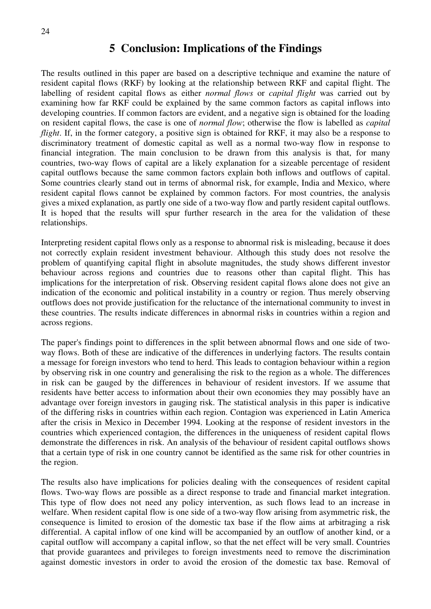### **5 Conclusion: Implications of the Findings**

The results outlined in this paper are based on a descriptive technique and examine the nature of resident capital flows (RKF) by looking at the relationship between RKF and capital flight. The labelling of resident capital flows as either *normal flows* or *capital flight* was carried out by examining how far RKF could be explained by the same common factors as capital inflows into developing countries. If common factors are evident, and a negative sign is obtained for the loading on resident capital flows, the case is one of *normal flow*; otherwise the flow is labelled as *capital flight*. If, in the former category, a positive sign is obtained for RKF, it may also be a response to discriminatory treatment of domestic capital as well as a normal two-way flow in response to financial integration. The main conclusion to be drawn from this analysis is that, for many countries, two-way flows of capital are a likely explanation for a sizeable percentage of resident capital outflows because the same common factors explain both inflows and outflows of capital. Some countries clearly stand out in terms of abnormal risk, for example, India and Mexico, where resident capital flows cannot be explained by common factors. For most countries, the analysis gives a mixed explanation, as partly one side of a two-way flow and partly resident capital outflows. It is hoped that the results will spur further research in the area for the validation of these relationships.

Interpreting resident capital flows only as a response to abnormal risk is misleading, because it does not correctly explain resident investment behaviour. Although this study does not resolve the problem of quantifying capital flight in absolute magnitudes, the study shows different investor behaviour across regions and countries due to reasons other than capital flight. This has implications for the interpretation of risk. Observing resident capital flows alone does not give an indication of the economic and political instability in a country or region. Thus merely observing outflows does not provide justification for the reluctance of the international community to invest in these countries. The results indicate differences in abnormal risks in countries within a region and across regions.

The paper's findings point to differences in the split between abnormal flows and one side of twoway flows. Both of these are indicative of the differences in underlying factors. The results contain a message for foreign investors who tend to herd. This leads to contagion behaviour within a region by observing risk in one country and generalising the risk to the region as a whole. The differences in risk can be gauged by the differences in behaviour of resident investors. If we assume that residents have better access to information about their own economies they may possibly have an advantage over foreign investors in gauging risk. The statistical analysis in this paper is indicative of the differing risks in countries within each region. Contagion was experienced in Latin America after the crisis in Mexico in December 1994. Looking at the response of resident investors in the countries which experienced contagion, the differences in the uniqueness of resident capital flows demonstrate the differences in risk. An analysis of the behaviour of resident capital outflows shows that a certain type of risk in one country cannot be identified as the same risk for other countries in the region.

The results also have implications for policies dealing with the consequences of resident capital flows. Two-way flows are possible as a direct response to trade and financial market integration. This type of flow does not need any policy intervention, as such flows lead to an increase in welfare. When resident capital flow is one side of a two-way flow arising from asymmetric risk, the consequence is limited to erosion of the domestic tax base if the flow aims at arbitraging a risk differential. A capital inflow of one kind will be accompanied by an outflow of another kind, or a capital outflow will accompany a capital inflow, so that the net effect will be very small. Countries that provide guarantees and privileges to foreign investments need to remove the discrimination against domestic investors in order to avoid the erosion of the domestic tax base. Removal of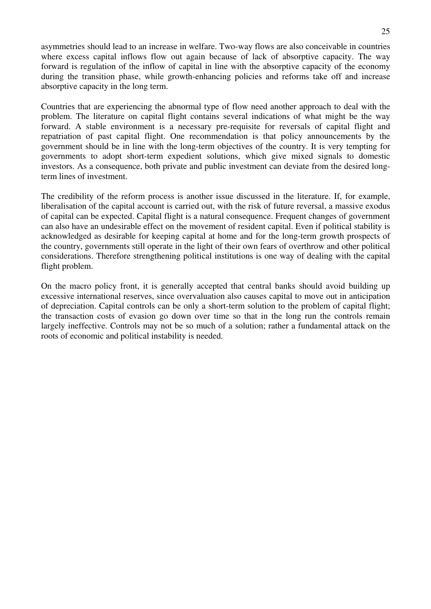asymmetries should lead to an increase in welfare. Two-way flows are also conceivable in countries where excess capital inflows flow out again because of lack of absorptive capacity. The way forward is regulation of the inflow of capital in line with the absorptive capacity of the economy during the transition phase, while growth-enhancing policies and reforms take off and increase absorptive capacity in the long term.

Countries that are experiencing the abnormal type of flow need another approach to deal with the problem. The literature on capital flight contains several indications of what might be the way forward. A stable environment is a necessary pre-requisite for reversals of capital flight and repatriation of past capital flight. One recommendation is that policy announcements by the government should be in line with the long-term objectives of the country. It is very tempting for governments to adopt short-term expedient solutions, which give mixed signals to domestic investors. As a consequence, both private and public investment can deviate from the desired longterm lines of investment.

The credibility of the reform process is another issue discussed in the literature. If, for example, liberalisation of the capital account is carried out, with the risk of future reversal, a massive exodus of capital can be expected. Capital flight is a natural consequence. Frequent changes of government can also have an undesirable effect on the movement of resident capital. Even if political stability is acknowledged as desirable for keeping capital at home and for the long-term growth prospects of the country, governments still operate in the light of their own fears of overthrow and other political considerations. Therefore strengthening political institutions is one way of dealing with the capital flight problem.

On the macro policy front, it is generally accepted that central banks should avoid building up excessive international reserves, since overvaluation also causes capital to move out in anticipation of depreciation. Capital controls can be only a short-term solution to the problem of capital flight; the transaction costs of evasion go down over time so that in the long run the controls remain largely ineffective. Controls may not be so much of a solution; rather a fundamental attack on the roots of economic and political instability is needed.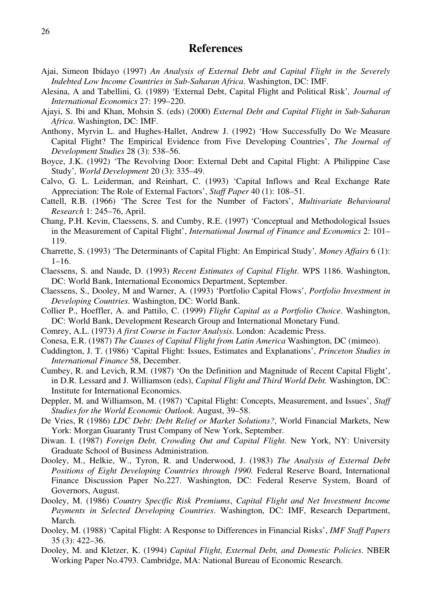#### **References**

- Ajai, Simeon Ibidayo (1997) *An Analysis of External Debt and Capital Flight in the Severely Indebted Low Income Countries in Sub-Saharan Africa*. Washington, DC: IMF.
- Alesina, A and Tabellini, G. (1989) 'External Debt, Capital Flight and Political Risk'*, Journal of International Economics* 27: 199–220.
- Ajayi, S. Ibi and Khan, Mohsin S. (eds) (2000) *External Debt and Capital Flight in Sub-Saharan Africa*. Washington, DC: IMF.
- Anthony, Myrvin L. and Hughes-Hallet, Andrew J. (1992) 'How Successfully Do We Measure Capital Flight? The Empirical Evidence from Five Developing Countries', *The Journal of Development Studies* 28 (3): 538–56.
- Boyce, J.K. (1992) 'The Revolving Door: External Debt and Capital Flight: A Philippine Case Study'*, World Development* 20 (3): 335–49.
- Calvo, G. L. Leiderman, and Reinhart, C. (1993) 'Capital Inflows and Real Exchange Rate Appreciation: The Role of External Factors', *Staff Paper* 40 (1): 108–51.
- Cattell, R.B. (1966) 'The Scree Test for the Number of Factors', *Multivariate Behavioural Research* 1: 245–76, April.
- Chang, P.H. Kevin, Claessens, S. and Cumby, R.E. (1997) 'Conceptual and Methodological Issues in the Measurement of Capital Flight', *International Journal of Finance and Economics* 2: 101– 119.
- Charrette, S. (1993) 'The Determinants of Capital Flight: An Empirical Study'*, Money Affairs* 6 (1):  $1-16.$
- Claessens, S. and Naude, D. (1993) *Recent Estimates of Capital Flight*. WPS 1186. Washington, DC: World Bank, International Economics Department, September.
- Claessens, S., Dooley, M and Warner, A. (1993) 'Portfolio Capital Flows', *Portfolio Investment in Developing Countries*. Washington, DC: World Bank.
- Collier P., Hoeffler, A. and Pattilo, C. (1999) *Flight Capital as a Portfolio Choice*. Washington, DC: World Bank, Development Research Group and International Monetary Fund.
- Comrey, A.L. (1973) *A first Course in Factor Analysis*. London: Academic Press.
- Conesa, E.R. (1987) *The Causes of Capital Flight from Latin America* Washington, DC (mimeo).
- Cuddington, J. T. (1986) 'Capital Flight: Issues, Estimates and Explanations', *Princeton Studies in International Finance* 58, December.
- Cumbey, R. and Levich, R.M. (1987) 'On the Definition and Magnitude of Recent Capital Flight', in D.R. Lessard and J. Williamson (eds), *Capital Flight and Third World Debt.* Washington, DC: Institute for International Economics.
- Deppler, M. and Williamson, M. (1987) 'Capital Flight: Concepts, Measurement, and Issues', *Staff Studies for the World Economic Outlook*. August, 39–58.
- De Vries, R (1986) *LDC Debt: Debt Relief or Market Solutions?*, World Financial Markets, New York: Morgan Guaranty Trust Company of New York, September.
- Diwan. I. (1987) *Foreign Debt, Crowding Out and Capital Flight*. New York, NY: University Graduate School of Business Administration.
- Dooley, M., Helkie, W., Tyron, R. and Underwood, J. (1983) *The Analysis of External Debt Positions of Eight Developing Countries through 1990.* Federal Reserve Board, International Finance Discussion Paper No.227. Washington, DC: Federal Reserve System, Board of Governors, August.
- Dooley, M. (1986) *Country Specific Risk Premiums*, *Capital Flight and Net Investment Income Payments in Selected Developing Countries*. Washington, DC: IMF, Research Department, March.
- Dooley, M. (1988) 'Capital Flight: A Response to Differences in Financial Risks', *IMF Staff Papers*  35 (3): 422–36.
- Dooley, M. and Kletzer, K. (1994) *Capital Flight, External Debt, and Domestic Policies*. NBER Working Paper No.4793. Cambridge, MA: National Bureau of Economic Research.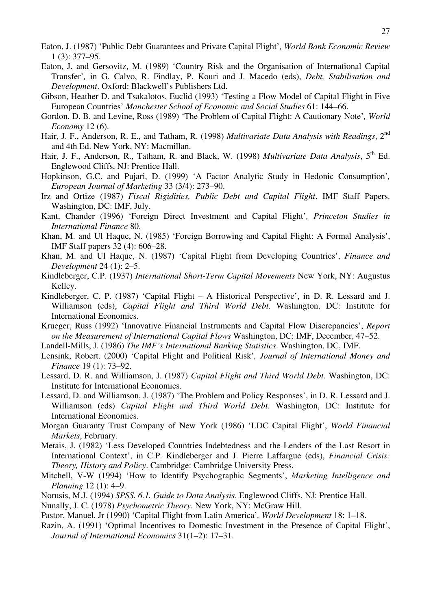- Eaton, J. (1987) 'Public Debt Guarantees and Private Capital Flight'*, World Bank Economic Review* 1 (3): 377–95.
- Eaton, J. and Gersovitz, M. (1989) 'Country Risk and the Organisation of International Capital Transfer'*,* in G. Calvo, R. Findlay, P. Kouri and J. Macedo (eds), *Debt, Stabilisation and Development*. Oxford: Blackwell's Publishers Ltd.
- Gibson, Heather D. and Tsakalotos, Euclid (1993) 'Testing a Flow Model of Capital Flight in Five European Countries' *Manchester School of Economic and Social Studies* 61: 144–66.
- Gordon, D. B. and Levine, Ross (1989) 'The Problem of Capital Flight: A Cautionary Note'*, World Economy* 12 (6).
- Hair, J. F., Anderson, R. E., and Tatham, R. (1998) *Multivariate Data Analysis with Readings*, 2nd and 4th Ed. New York, NY: Macmillan.
- Hair, J. F., Anderson, R., Tatham, R. and Black, W. (1998) *Multivariate Data Analysis*, 5<sup>th</sup> Ed. Englewood Cliffs, NJ: Prentice Hall.
- Hopkinson, G.C. and Pujari, D. (1999) 'A Factor Analytic Study in Hedonic Consumption'*, European Journal of Marketing* 33 (3/4): 273–90.
- Irz and Ortize (1987) *Fiscal Rigidities, Public Debt and Capital Flight*. IMF Staff Papers. Washington, DC: IMF, July.
- Kant, Chander (1996) 'Foreign Direct Investment and Capital Flight'*, Princeton Studies in International Finance* 80.
- Khan, M. and Ul Haque, N. (1985) 'Foreign Borrowing and Capital Flight: A Formal Analysis', IMF Staff papers 32 (4): 606–28.
- Khan, M. and Ul Haque, N. (1987) 'Capital Flight from Developing Countries', *Finance and Development* 24 (1): 2–5.
- Kindleberger, C.P. (1937) *International Short-Term Capital Movements* New York, NY: Augustus Kelley.
- Kindleberger, C. P. (1987) 'Capital Flight A Historical Perspective', in D. R. Lessard and J. Williamson (eds), *Capital Flight and Third World Debt*. Washington, DC: Institute for International Economics.
- Krueger, Russ (1992) 'Innovative Financial Instruments and Capital Flow Discrepancies', *Report on the Measurement of International Capital Flows* Washington, DC: IMF, December, 47–52.
- Landell-Mills, J. (1986) *The IMF's International Banking Statistics*. Washington, DC, IMF.
- Lensink, Robert. (2000) 'Capital Flight and Political Risk'*, Journal of International Money and Finance* 19 (1): 73–92.
- Lessard, D. R. and Williamson, J. (1987) *Capital Flight and Third World Debt*. Washington, DC: Institute for International Economics.
- Lessard, D. and Williamson, J. (1987) 'The Problem and Policy Responses', in D. R. Lessard and J. Williamson (eds) *Capital Flight and Third World Debt*. Washington, DC: Institute for International Economics.
- Morgan Guaranty Trust Company of New York (1986) 'LDC Capital Flight', *World Financial Markets*, February.
- Metais, J. (1982) 'Less Developed Countries Indebtedness and the Lenders of the Last Resort in International Context', in C.P. Kindleberger and J. Pierre Laffargue (eds), *Financial Crisis: Theory, History and Policy*. Cambridge: Cambridge University Press.
- Mitchell, V-W (1994) 'How to Identify Psychographic Segments', *Marketing Intelligence and Planning* 12 (1): 4–9.
- Norusis, M.J. (1994) *SPSS. 6.1. Guide to Data Analysis*. Englewood Cliffs, NJ: Prentice Hall.
- Nunally, J. C. (1978) *Psychometric Theory*. New York, NY: McGraw Hill.
- Pastor, Manuel, Jr (1990) 'Capital Flight from Latin America'*, World Development* 18: 1–18.
- Razin, A. (1991) 'Optimal Incentives to Domestic Investment in the Presence of Capital Flight', *Journal of International Economics* 31(1–2): 17–31.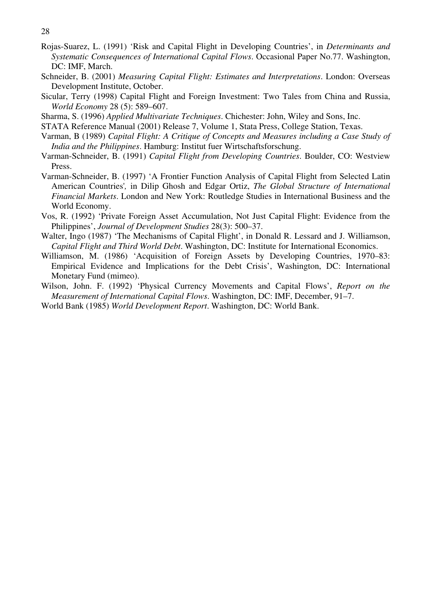- 28
- Rojas-Suarez, L. (1991) 'Risk and Capital Flight in Developing Countries', in *Determinants and Systematic Consequences of International Capital Flows*. Occasional Paper No.77. Washington, DC: IMF, March.
- Schneider, B. (2001) *Measuring Capital Flight: Estimates and Interpretations*. London: Overseas Development Institute, October.
- Sicular, Terry (1998) Capital Flight and Foreign Investment: Two Tales from China and Russia, *World Economy* 28 (5): 589–607.
- Sharma, S. (1996) *Applied Multivariate Techniques*. Chichester: John, Wiley and Sons, Inc.
- STATA Reference Manual (2001) Release 7, Volume 1, Stata Press, College Station, Texas.
- Varman, B (1989) *Capital Flight: A Critique of Concepts and Measures including a Case Study of India and the Philippines*. Hamburg: Institut fuer Wirtschaftsforschung.
- Varman-Schneider, B. (1991) *Capital Flight from Developing Countries*. Boulder, CO: Westview Press.
- Varman-Schneider, B. (1997) 'A Frontier Function Analysis of Capital Flight from Selected Latin American Countries'*,* in Dilip Ghosh and Edgar Ortiz, *The Global Structure of International Financial Markets*. London and New York: Routledge Studies in International Business and the World Economy.
- Vos, R. (1992) 'Private Foreign Asset Accumulation, Not Just Capital Flight: Evidence from the Philippines', *Journal of Development Studies* 28(3): 500–37.
- Walter, Ingo (1987) 'The Mechanisms of Capital Flight', in Donald R. Lessard and J. Williamson, *Capital Flight and Third World Debt*. Washington, DC: Institute for International Economics.
- Williamson, M. (1986) 'Acquisition of Foreign Assets by Developing Countries, 1970–83: Empirical Evidence and Implications for the Debt Crisis', Washington, DC: International Monetary Fund (mimeo).
- Wilson, John. F. (1992) 'Physical Currency Movements and Capital Flows', *Report on the Measurement of International Capital Flows*. Washington, DC: IMF, December, 91–7.
- World Bank (1985) *World Development Report*. Washington, DC: World Bank.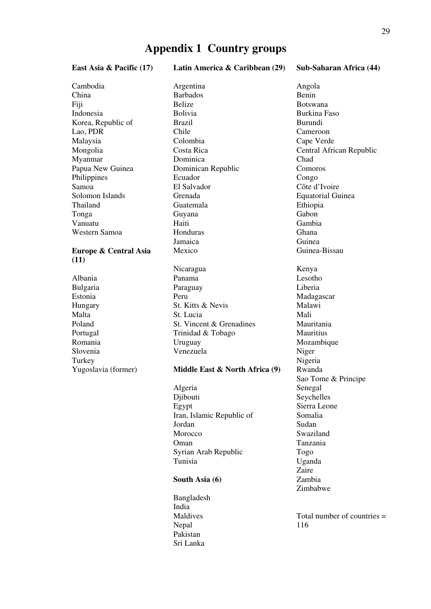### **Appendix 1 Country groups**

East Asia & Pacific (17) Latin America & Caribbean (29) Sub-Saharan Africa (44)

Cambodia Argentina Angola China Barbados Benin Fiji Belize Botswana

#### **Europe & Central Asia (11)**

Slovenia Venezuela Niger<br>Turkey Nigeria Turkey Nigeria

Indonesia Bolivia Burkina Faso Korea, Republic of Brazil Burundi Lao, PDR Chile Cameroon Malaysia Colombia Cape Verde Mongolia Costa Rica Central African Republic Myanmar Dominica Chad Papua New Guinea Dominican Republic Comoros Philippines Ecuador Congo Samoa El Salvador El Salvador Côte d'Ivoire<br>Solomon Islands Grenada Equatorial Gu Grenada Equatorial Guinea Thailand Guatemala Ethiopia Tonga Guyana Guyana Gabon Vanuatu Haiti Gambia Western Samoa Honduras Ghana Jamaica Guinea Mexico Guinea-Bissau Nicaragua Kenya Albania Panama Lesotho Bulgaria Paraguay Liberia Estonia Peru Madagascar Hungary St. Kitts & Nevis Malawi Malta **St. Lucia** St. Lucia Poland St. Vincent & Grenadines Mauritania Portugal Trinidad & Tobago Mauritius Romania Uruguay 1999 Mozambique

#### Yugoslavia (former) **Middle East & North Africa (9)** Rwanda

 Algeria Senegal Djibouti Seychelles Egypt Sierra Leone Iran, Islamic Republic of Somalia Jordan Sudan Morocco Swaziland Oman Tanzania Syrian Arab Republic Togo Tunisia Uganda

#### **South Asia (6)** Zambia

 Bangladesh India Nepal 116 Pakistan Sri Lanka

 Sao Tome & Principe zaire et al. *Zaire* et al. *Zaire* et al. *Zaire* et al. *Zaire* et al. *Zaire* et al. *Zaire* et al. *Zaire* et al. *Zaire* et al. *Zaire* et al. *Zaire* et al. *Zaire* et al. *Zaire* et al. *Zaire* et al. *Zaire* et al.

Maldives Total number of countries =

Zimbabwe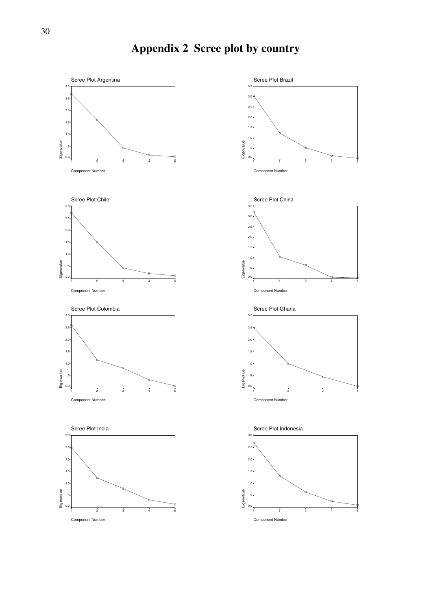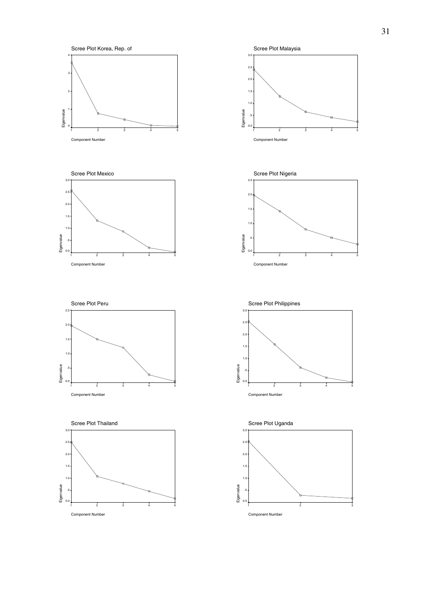

1 2 3 4 5



Component Number

Eigenvalue 3.0

Eigenvalue

2.5 2.0 1.5 1.0 .5  $0.0$ 

 $3.0$ 





Scree Plot Korea, Rep. of 4<br>Eigenvalue 4<br>Eigenvalue 4<br>Comparation 3 2 Eigenvalue 1 0 1 2 3 4 5 Component Number





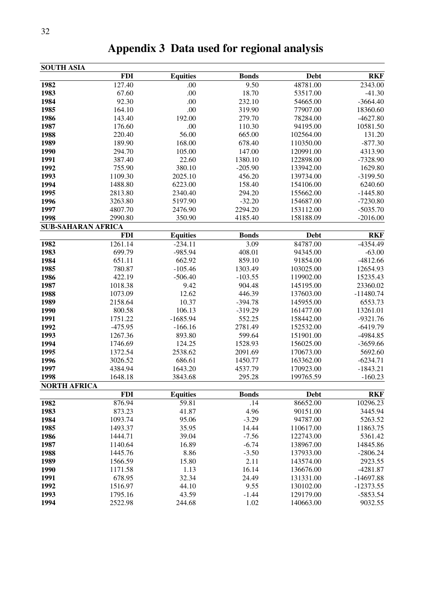| <b>SOUTH ASIA</b>   |                           |                 |              |             |             |
|---------------------|---------------------------|-----------------|--------------|-------------|-------------|
|                     | <b>FDI</b>                | <b>Equities</b> | <b>Bonds</b> | Debt        | <b>RKF</b>  |
| 1982                | 127.40                    | .00             | 9.50         | 48781.00    | 2343.00     |
| 1983                | 67.60                     | .00             | 18.70        | 53517.00    | $-41.30$    |
| 1984                | 92.30                     | .00             | 232.10       | 54665.00    | $-3664.40$  |
| 1985                | 164.10                    | .00             | 319.90       | 77907.00    | 18360.60    |
| 1986                | 143.40                    | 192.00          | 279.70       | 78284.00    | $-4627.80$  |
| 1987                | 176.60                    | .00             | 110.30       | 94195.00    | 10581.50    |
| 1988                | 220.40                    | 56.00           | 665.00       | 102564.00   | 131.20      |
| 1989                | 189.90                    | 168.00          | 678.40       | 110350.00   | $-877.30$   |
| 1990                | 294.70                    | 105.00          | 147.00       | 120991.00   | 4313.90     |
| 1991                | 387.40                    | 22.60           | 1380.10      | 122898.00   | $-7328.90$  |
| 1992                | 755.90                    | 380.10          | $-205.90$    | 133942.00   | 1629.80     |
| 1993                | 1109.30                   | 2025.10         | 456.20       | 139734.00   | $-3199.50$  |
| 1994                | 1488.80                   | 6223.00         | 158.40       | 154106.00   | 6240.60     |
| 1995                | 2813.80                   | 2340.40         | 294.20       | 155662.00   | $-1445.80$  |
| 1996                | 3263.80                   | 5197.90         | $-32.20$     | 154687.00   | $-7230.80$  |
| 1997                | 4807.70                   | 2476.90         | 2294.20      | 153112.00   | $-5035.70$  |
| 1998                | 2990.80                   | 350.90          | 4185.40      | 158188.09   | $-2016.00$  |
|                     | <b>SUB-SAHARAN AFRICA</b> |                 |              |             |             |
|                     | <b>FDI</b>                | <b>Equities</b> | <b>Bonds</b> | <b>Debt</b> | <b>RKF</b>  |
| 1982                | 1261.14                   | $-234.11$       | 3.09         | 84787.00    | -4354.49    |
| 1983                | 699.79                    | -985.94         | 408.01       | 94345.00    | $-63.00$    |
| 1984                | 651.11                    | 662.92          | 859.10       | 91854.00    | $-4812.66$  |
| 1985                | 780.87                    | $-105.46$       | 1303.49      | 103025.00   | 12654.93    |
| 1986                | 422.19                    | $-506.40$       | $-103.55$    | 119902.00   | 15235.43    |
| 1987                | 1018.38                   | 9.42            | 904.48       | 145195.00   | 23360.02    |
| 1988                | 1073.09                   | 12.62           | 446.39       | 137603.00   | $-11480.74$ |
| 1989                | 2158.64                   | 10.37           | $-394.78$    | 145955.00   | 6553.73     |
| 1990                | 800.58                    | 106.13          | $-319.29$    | 161477.00   | 13261.01    |
| 1991                | 1751.22                   | $-1685.94$      | 552.25       | 158442.00   | $-9321.76$  |
| 1992                | $-475.95$                 | $-166.16$       | 2781.49      | 152532.00   | $-6419.79$  |
| 1993                | 1267.36                   | 893.80          | 599.64       | 151901.00   | -4984.85    |
| 1994                | 1746.69                   | 124.25          | 1528.93      | 156025.00   | $-3659.66$  |
| 1995                | 1372.54                   | 2538.62         | 2091.69      | 170673.00   | 5692.60     |
| 1996                | 3026.52                   | 686.61          | 1450.77      | 163362.00   | $-6234.71$  |
| 1997                | 4384.94                   | 1643.20         | 4537.79      | 170923.00   | $-1843.21$  |
| 1998                | 1648.18                   | 3843.68         | 295.28       | 199765.59   | $-160.23$   |
| <b>NORTH AFRICA</b> |                           |                 |              |             |             |
|                     | <b>FDI</b>                | <b>Equities</b> | <b>Bonds</b> | Debt        | <b>RKF</b>  |
| 1982                | 876.94                    | 59.81           | .14          | 86652.00    | 10296.23    |
| 1983                | 873.23                    | 41.87           | 4.96         | 90151.00    | 3445.94     |
| 1984                | 1093.74                   | 95.06           | $-3.29$      | 94787.00    | 5263.52     |
| 1985                | 1493.37                   | 35.95           | 14.44        | 110617.00   | 11863.75    |
| 1986                | 1444.71                   | 39.04           | $-7.56$      | 122743.00   | 5361.42     |
| 1987                | 1140.64                   | 16.89           | $-6.74$      | 138967.00   | 14845.86    |
| 1988                | 1445.76                   | 8.86            | $-3.50$      | 137933.00   | $-2806.24$  |
| 1989                | 1566.59                   | 15.80           | 2.11         | 143574.00   | 2923.55     |
| 1990                | 1171.58                   | 1.13            | 16.14        | 136676.00   | $-4281.87$  |
| 1991                | 678.95                    | 32.34           | 24.49        | 131331.00   | $-14697.88$ |
| 1992                | 1516.97                   | 44.10           | 9.55         | 130102.00   | $-12373.55$ |
| 1993                | 1795.16                   | 43.59           | $-1.44$      | 129179.00   | $-5853.54$  |
| 1994                | 2522.98                   | 244.68          | 1.02         | 140663.00   | 9032.55     |

**Appendix 3 Data used for regional analysis**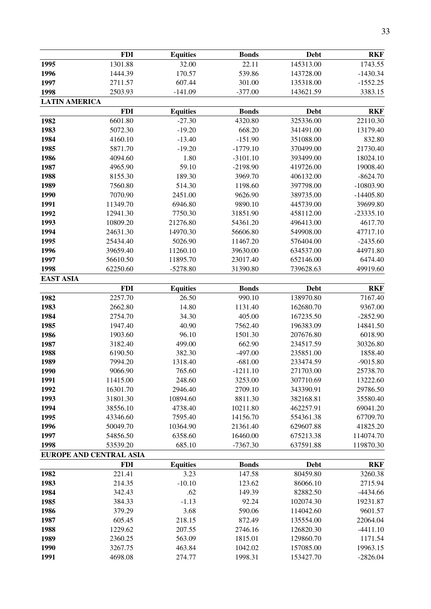|                      | <b>FDI</b>              | <b>Equities</b>  | <b>Bonds</b>       | <b>Debt</b>            | <b>RKF</b>             |
|----------------------|-------------------------|------------------|--------------------|------------------------|------------------------|
| 1995                 | 1301.88                 | 32.00            | 22.11              | 145313.00              | 1743.55                |
| 1996                 | 1444.39                 | 170.57           | 539.86             | 143728.00              | $-1430.34$             |
| 1997                 | 2711.57                 | 607.44           | 301.00             | 135318.00              | $-1552.25$             |
| 1998                 | 2503.93                 | $-141.09$        | $-377.00$          | 143621.59              | 3383.15                |
| <b>LATIN AMERICA</b> |                         |                  |                    |                        |                        |
|                      | <b>FDI</b>              | <b>Equities</b>  | <b>Bonds</b>       | <b>Debt</b>            | <b>RKF</b>             |
| 1982                 | 6601.80                 | $-27.30$         | 4320.80            | 325336.00              | 22110.30               |
| 1983                 | 5072.30                 | $-19.20$         | 668.20             | 341491.00              | 13179.40               |
| 1984                 | 4160.10                 | $-13.40$         | $-151.90$          | 351088.00              | 832.80                 |
| 1985                 | 5871.70                 | $-19.20$         | $-1779.10$         | 370499.00              | 21730.40               |
| 1986                 | 4094.60                 | 1.80             | $-3101.10$         | 393499.00              | 18024.10               |
| 1987                 | 4965.90                 | 59.10            | $-2198.90$         | 419726.00              | 19008.40               |
| 1988                 | 8155.30                 | 189.30           | 3969.70            | 406132.00              | $-8624.70$             |
| 1989                 | 7560.80                 | 514.30           | 1198.60            | 397798.00              | $-10803.90$            |
| 1990                 | 7070.90                 | 2451.00          | 9626.90            | 389735.00              | $-14405.80$            |
| 1991                 | 11349.70                | 6946.80          | 9890.10            | 445739.00              | 39699.80               |
| 1992                 | 12941.30                | 7750.30          | 31851.90           | 458112.00              | $-23335.10$            |
| 1993                 | 10809.20                | 21276.80         | 54361.20           | 496413.00              | 4617.70                |
| 1994                 | 24631.30                | 14970.30         | 56606.80           | 549908.00              | 47717.10               |
| 1995                 | 25434.40                | 5026.90          | 11467.20           | 576404.00              | $-2435.60$             |
| 1996                 | 39659.40                | 11260.10         | 39630.00           | 634537.00              | 44971.80               |
| 1997                 | 56610.50                | 11895.70         | 23017.40           | 652146.00              | 6474.40                |
| 1998                 | 62250.60                | $-5278.80$       | 31390.80           | 739628.63              | 49919.60               |
| <b>EAST ASIA</b>     |                         |                  |                    |                        |                        |
|                      | <b>FDI</b>              | <b>Equities</b>  | <b>Bonds</b>       | <b>Debt</b>            | <b>RKF</b>             |
| 1982                 | 2257.70                 | 26.50            | 990.10             | 138970.80              | 7167.40                |
| 1983                 | 2662.80                 | 14.80            | 1131.40            | 162680.70              | 9367.00                |
| 1984                 | 2754.70                 | 34.30            | 405.00             | 167235.50              | $-2852.90$             |
| 1985                 | 1947.40                 | 40.90            | 7562.40            | 196383.09              | 14841.50               |
| 1986                 | 1903.60                 | 96.10            | 1501.30            | 207676.80              | 6018.90                |
| 1987                 | 3182.40                 | 499.00           | 662.90             | 234517.59              | 30326.80               |
| 1988                 | 6190.50                 | 382.30           | $-497.00$          | 235851.00              | 1858.40                |
| 1989                 | 7994.20                 | 1318.40          | $-681.00$          | 233474.59              | $-9015.80$             |
| 1990                 | 9066.90                 | 765.60           | $-1211.10$         | 271703.00              | 25738.70               |
| 1991                 | 11415.00                | 248.60           | 3253.00            | 307710.69              | 13222.60               |
| 1992                 | 16301.70                | 2946.40          | 2709.10            | 343390.91              | 29786.50               |
| 1993                 | 31801.30                | 10894.60         | 8811.30            | 382168.81              | 35580.40               |
| 1994                 | 38556.10                | 4738.40          | 10211.80           | 462257.91              | 69041.20               |
| 1995                 | 43346.60                | 7595.40          | 14156.70           | 554361.38              | 67709.70               |
| 1996                 | 50049.70                | 10364.90         | 21361.40           | 629607.88              | 41825.20               |
| 1997                 | 54856.50                | 6358.60          | 16460.00           | 675213.38              | 114074.70              |
| 1998                 | 53539.20                | 685.10           | $-7367.30$         | 637591.88              | 119870.30              |
|                      | EUROPE AND CENTRAL ASIA |                  |                    |                        |                        |
|                      | <b>FDI</b>              | <b>Equities</b>  | <b>Bonds</b>       | Debt                   | <b>RKF</b>             |
| 1982                 | 221.41                  | 3.23             | 147.58             | 80459.80               | 3260.38                |
| 1983                 | 214.35                  | $-10.10$         | 123.62             | 86066.10               | 2715.94                |
| 1984                 | 342.43                  | .62              | 149.39             | 82882.50               | $-4434.66$             |
| 1985                 | 384.33                  | $-1.13$          | 92.24              | 102074.30              | 19231.87               |
| 1986                 | 379.29                  | 3.68             | 590.06             | 114042.60              | 9601.57                |
| 1987<br>1988         | 605.45<br>1229.62       | 218.15<br>207.55 | 872.49<br>2746.16  | 135554.00              | 22064.04<br>$-4411.10$ |
| 1989                 |                         | 563.09           |                    | 126820.30              | 1171.54                |
| 1990                 | 2360.25<br>3267.75      | 463.84           | 1815.01<br>1042.02 | 129860.70<br>157085.00 | 19963.15               |
| 1991                 | 4698.08                 | 274.77           | 1998.31            | 153427.70              | $-2826.04$             |
|                      |                         |                  |                    |                        |                        |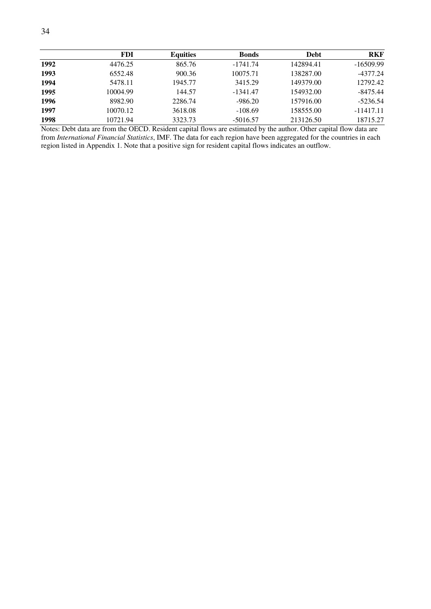|      | <b>FDI</b> | <b>Equities</b> | <b>Bonds</b> | <b>Debt</b> | <b>RKF</b>  |
|------|------------|-----------------|--------------|-------------|-------------|
| 1992 | 4476.25    | 865.76          | $-1741.74$   | 142894.41   | $-16509.99$ |
| 1993 | 6552.48    | 900.36          | 10075.71     | 138287.00   | -4377.24    |
| 1994 | 5478.11    | 1945.77         | 3415.29      | 149379.00   | 12792.42    |
| 1995 | 10004.99   | 144.57          | $-1341.47$   | 154932.00   | $-8475.44$  |
| 1996 | 8982.90    | 2286.74         | $-986.20$    | 157916.00   | $-5236.54$  |
| 1997 | 10070.12   | 3618.08         | $-108.69$    | 158555.00   | $-11417.11$ |
| 1998 | 10721.94   | 3323.73         | $-5016.57$   | 213126.50   | 18715.27    |

Notes: Debt data are from the OECD. Resident capital flows are estimated by the author. Other capital flow data are from *International Financial Statistics*, IMF. The data for each region have been aggregated for the countries in each region listed in Appendix 1. Note that a positive sign for resident capital flows indicates an outflow.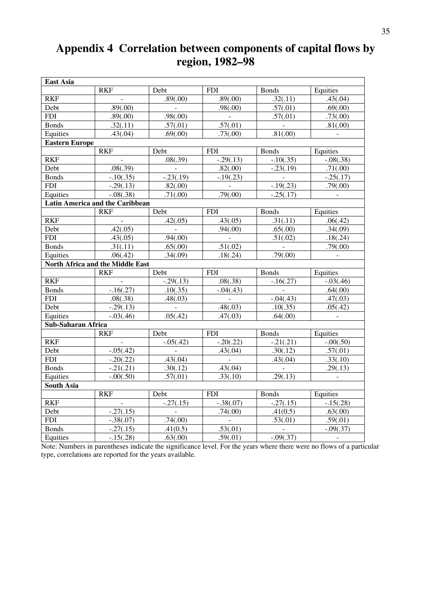# **Appendix 4 Correlation between components of capital flows by region, 1982–98**

| <b>East Asia</b>                       |                                  |                             |             |                          |                             |  |
|----------------------------------------|----------------------------------|-----------------------------|-------------|--------------------------|-----------------------------|--|
|                                        | <b>RKF</b>                       | Debt                        | <b>FDI</b>  | <b>Bonds</b>             | Equities                    |  |
| <b>RKF</b>                             | $\omega$                         | .89(.00)                    | .89(.00)    | .32(.11)                 | .43(.04)                    |  |
| Debt                                   | .89(.00)                         | $\mathcal{L}_{\mathcal{A}}$ | .98(.00)    | .57(.01)                 | .69(.00)                    |  |
| <b>FDI</b>                             | .89(.00)                         | .98(.00)                    | $\sim$      | .57(.01)                 | .73(.00)                    |  |
| <b>Bonds</b>                           | .32(.11)                         | .57(.01)                    | .57(.01)    |                          | .81(.00)                    |  |
| Equities                               | .43(.04)                         | .69(.00)                    | .73(.00)    | .81(.00)                 | $\sim$                      |  |
| <b>Eastern Europe</b>                  |                                  |                             |             |                          |                             |  |
|                                        | <b>RKF</b>                       | Debt                        | ${\rm FDI}$ | <b>Bonds</b>             | Equities                    |  |
| <b>RKF</b>                             |                                  | .08(.39)                    | $-.29(.13)$ | $-10(.35)$               | $-.08(.38)$                 |  |
| Debt                                   | .08(.39)                         | $\sim$ $-$                  | .82(.00)    | $-.23(.19)$              | .71(.00)                    |  |
| <b>Bonds</b>                           | $-.10(.35)$                      | $-0.23(0.19)$               | $-.19(.23)$ | $\sim 10^{11}$ m $^{-1}$ | $-25(.17)$                  |  |
| <b>FDI</b>                             | $-.29(.13)$                      | .82(.00)                    | $\sim$      | $-.19(.23)$              | .79(.00)                    |  |
| Equities                               | $-.08(.38)$                      | .71(.00)                    | .79(.00)    | $-.25(.17)$              | $\blacksquare$              |  |
| <b>Latin America and the Caribbean</b> |                                  |                             |             |                          |                             |  |
|                                        | <b>RKF</b>                       | Debt                        | <b>FDI</b>  | <b>Bonds</b>             | Equities                    |  |
| <b>RKF</b>                             | $\blacksquare$                   | .42(.05)                    | .43(.05)    | .31(.11)                 | .06(.42)                    |  |
| Debt                                   | .42(.05)                         | $\sim$                      | .94(.00)    | .65(.00)                 | .34(.09)                    |  |
| <b>FDI</b>                             | .43(.05)                         | .94(.00)                    | $\sim 100$  | .51(.02)                 | .18(.24)                    |  |
| <b>Bonds</b>                           | .31(.11)                         | .65(.00)                    | .51(.02)    | $\sim$                   | .79(.00)                    |  |
| Equities                               | .06(.42)                         | .34(.09)                    | .18(.24)    | .79(.00)                 | $\sim$                      |  |
|                                        | North Africa and the Middle East |                             |             |                          |                             |  |
|                                        | <b>RKF</b>                       | Debt                        | <b>FDI</b>  | Bonds                    | Equities                    |  |
| <b>RKF</b>                             |                                  | $-.29(.13)$                 | .08(.38)    | $-.16(.27)$              | $-.03(.46)$                 |  |
| <b>Bonds</b>                           | $-.16(.27)$                      | .10(.35)                    | $-.04(.43)$ | $\sim 100$               | $-64(.00)$                  |  |
| <b>FDI</b>                             | .08(.38)                         | .48(.03)                    | $\sim$      | $-.04(.43)$              | .47(.03)                    |  |
| Debt                                   | $-.29(.13)$                      | $\mathcal{L}^{\mathcal{L}}$ | .48(.03)    | .10(.35)                 | .05(.42)                    |  |
| Equities                               | $-.03(.46)$                      | .05(.42)                    | .47(.03)    | .64(.00)                 | $\blacksquare$              |  |
| <b>Sub-Saharan Africa</b>              |                                  |                             |             |                          |                             |  |
|                                        | <b>RKF</b>                       | Debt                        | <b>FDI</b>  | <b>Bonds</b>             | Equities                    |  |
| <b>RKF</b>                             | $\blacksquare$                   | $-.05(.42)$                 | $-.20(.22)$ | $-.21(.21)$              | $-.00(.50)$                 |  |
| Debt                                   | $-.05(.42)$                      | $\sim$                      | .43(.04)    | .30(.12)                 | .57(.01)                    |  |
| <b>FDI</b>                             | $-.20(.22)$                      | .43(.04)                    | $\sim 100$  | .43(.04)                 | .33(.10)                    |  |
| <b>Bonds</b>                           | $-.21(.21)$                      | .30(.12)                    | .43(.04)    | $\sim 10^{-1}$           | .29(.13)                    |  |
| Equities                               | $-.00(.50)$                      | .57(.01)                    | .33(.10)    | .29(.13)                 | $\mathcal{L}_{\mathcal{A}}$ |  |
| <b>South Asia</b>                      |                                  |                             |             |                          |                             |  |
|                                        | <b>RKF</b>                       | Debt                        | <b>FDI</b>  | <b>Bonds</b>             | Equities                    |  |
| <b>RKF</b>                             |                                  | $-.27(.15)$                 | $-.38(.07)$ | $-.27(.15)$              | $-.15(.28)$                 |  |
| Debt                                   | $-27(.15)$                       | $\mathbb{Z}^2$              | .74(.00)    | .41(0.5)                 | .63(.00)                    |  |
| <b>FDI</b>                             | $-.38(.07)$                      | .74(.00)                    | $\sim$      | .53(.01)                 | .59(.01)                    |  |
| <b>Bonds</b>                           | $-.27(.15)$                      | .41(0.5)                    | .53(.01)    | $\sim 10^{-1}$           | $-.09(.37)$                 |  |
| Equities                               | $-.15(.28)$                      | .63(.00)                    | .59(.01)    | $-.09(.37)$              |                             |  |

Note: Numbers in parentheses indicate the significance level. For the years where there were no flows of a particular type, correlations are reported for the years available.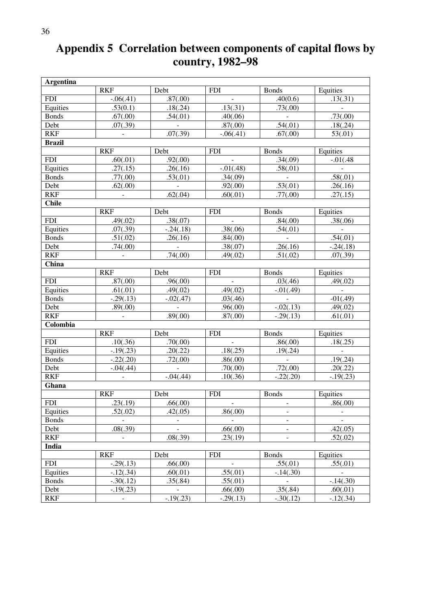# **Appendix 5 Correlation between components of capital flows by country, 1982–98**

| <b>Argentina</b> |             |                       |             |                       |               |
|------------------|-------------|-----------------------|-------------|-----------------------|---------------|
|                  | <b>RKF</b>  | Debt                  | <b>FDI</b>  | <b>Bonds</b>          | Equities      |
| <b>FDI</b>       | $-.06(.41)$ | .87(.00)              |             | .40(0.6)              | .13(.31)      |
| Equities         | .53(0.1)    | .18(.24)              | .13(.31)    | .73(.00)              |               |
| <b>Bonds</b>     | .67(.00)    | .54(.01)              | .40(.06)    |                       | .73(.00)      |
| Debt             | .07(.39)    | $\mathbb{Z}^2$        | .87(.00)    | .54(.01)              | .18(.24)      |
| <b>RKF</b>       |             | .07(.39)              | $-.06(.41)$ | .67(.00)              | 53(.01)       |
| <b>Brazil</b>    |             |                       |             |                       |               |
|                  | <b>RKF</b>  | Debt                  | <b>FDI</b>  | <b>Bonds</b>          | Equities      |
| <b>FDI</b>       | .60(.01)    | .92(.00)              |             | .34(.09)              | $-.01(.48)$   |
| Equities         | .27(.15)    | $\overline{.26(.16)}$ | $-.01(.48)$ | .58(.01)              |               |
| <b>Bonds</b>     | .77(.00)    | .53(.01)              | .34(.09)    | $\omega$              | .58(.01)      |
| Debt             | .62(.00)    |                       | .92(.00)    | .53(.01)              | .26(.16)      |
| <b>RKF</b>       |             | .62(.04)              | .60(.01)    | .77(.00)              | .27(.15)      |
| <b>Chile</b>     |             |                       |             |                       |               |
|                  | <b>RKF</b>  | Debt                  | <b>FDI</b>  | <b>Bonds</b>          | Equities      |
| <b>FDI</b>       | .49(.02)    | .38(.07)              |             | .84(.00)              | .38(.06)      |
| Equities         | .07(.39)    | $-.24(.18)$           | .38(.06)    | .54(.01)              |               |
| <b>Bonds</b>     | .51(.02)    | .26(.16)              | .84(.00)    |                       | .54(.01)      |
| Debt             | .74(.00)    |                       | .38(.07)    | .26(.16)              | $-.24(.18)$   |
| <b>RKF</b>       |             | .74(.00)              | .49(.02)    | $\overline{.51(.02)}$ | .07(.39)      |
| China            |             |                       |             |                       |               |
|                  | <b>RKF</b>  | Debt                  | <b>FDI</b>  | <b>Bonds</b>          | Equities      |
| <b>FDI</b>       | .87(.00)    | .96(.00)              |             | .03(.46)              | .49(.02)      |
| Equities         | .61(.01)    | .49(.02)              | .49(.02)    | $-.01(.49)$           |               |
| <b>Bonds</b>     | $-.29(.13)$ | $-.02(.47)$           | .03(.46)    |                       | $-01(.49)$    |
| Debt             | .89(.00)    |                       | .96(.00)    | $-.02(.13)$           | .49(.02)      |
| <b>RKF</b>       |             | .89(.00)              | .87(.00)    | $-.29(.13)$           | .61(.01)      |
| Colombia         |             |                       |             |                       |               |
|                  | <b>RKF</b>  | Debt                  | <b>FDI</b>  | <b>Bonds</b>          | Equities      |
| <b>FDI</b>       | .10(.36)    | .70(.00)              |             | .86(.00)              | .18(.25)      |
| Equities         | $-.19(.23)$ | .20(.22)              | .18(.25)    | .19(.24)              |               |
| <b>Bonds</b>     | $-.22(.20)$ | .72(.00)              | .86(.00)    |                       | .19(.24)      |
| Debt             | $-.04(.44)$ |                       | .70(.00)    | .72(.00)              | .20(.22)      |
| <b>RKF</b>       |             | $-.04(.44)$           | .10(.36)    | $-.22(.20)$           | $-.19(.23)$   |
| Ghana            |             |                       |             |                       |               |
|                  | <b>RKF</b>  | Debt                  | <b>FDI</b>  | <b>Bonds</b>          | Equities      |
| <b>FDI</b>       | .23(.19)    | .66(.00)              |             |                       | .86(.00)      |
| Equities         | .52(.02)    | .42(.05)              | .86(.00)    |                       |               |
| <b>Bonds</b>     |             |                       |             |                       |               |
| Debt             | .08(.39)    |                       | .66(.00)    |                       | .42(.05)      |
| <b>RKF</b>       |             | .08(.39)              | .23(.19)    |                       | .52(.02)      |
| India            |             |                       |             |                       |               |
|                  | <b>RKF</b>  | Debt                  | <b>FDI</b>  | <b>Bonds</b>          | Equities      |
| <b>FDI</b>       | $-.29(.13)$ | .66(.00)              |             | .55(.01)              | .55(.01)      |
| Equities         | $-12(.34)$  | .60(.01)              | .55(.01)    | $-.14(.30)$           |               |
| <b>Bonds</b>     | $-.30(.12)$ | .35(.84)              | .55(.01)    |                       | $-0.14(0.30)$ |
| Debt             | $-.19(.23)$ |                       | .66(.00)    | .35(.84)              | .60(.01)      |
| <b>RKF</b>       |             | $-.19(.23)$           | $-.29(.13)$ | $-.30(.12)$           | $-.12(.34)$   |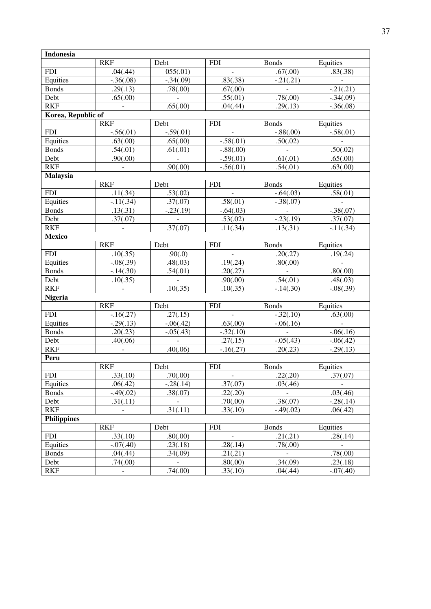| <b>Indonesia</b>   |                          |             |                |              |             |  |
|--------------------|--------------------------|-------------|----------------|--------------|-------------|--|
|                    | <b>RKF</b>               | Debt        | <b>FDI</b>     | <b>Bonds</b> | Equities    |  |
| <b>FDI</b>         | .04(.44)                 | 055(.01)    |                | .67(.00)     | .83(.38)    |  |
| Equities           | $-.36(.08)$              | $-.34(.09)$ | .83(.38)       | $-.21(.21)$  |             |  |
| <b>Bonds</b>       | .29(.13)                 | .78(.00)    | .67(.00)       |              | $-.21(.21)$ |  |
| Debt               | .65(.00)                 |             | .55(.01)       | .78(.00)     | $-.34(.09)$ |  |
| <b>RKF</b>         |                          | .65(.00)    | .04(.44)       | .29(.13)     | $-.36(.08)$ |  |
| Korea, Republic of |                          |             |                |              |             |  |
|                    | <b>RKF</b>               | Debt        | <b>FDI</b>     | <b>Bonds</b> | Equities    |  |
| <b>FDI</b>         | $-.56(.01)$              | $-.59(.01)$ |                | $-.88(.00)$  | $-.58(.01)$ |  |
| Equities           | .63(.00)                 | .65(.00)    | $-.58(.01)$    | .50(.02)     |             |  |
| <b>Bonds</b>       | .54(.01)                 | .61(.01)    | $-.88(.00)$    |              | .50(.02)    |  |
| Debt               | .90(.00)                 |             | $-.59(.01)$    | .61(.01)     | .65(.00)    |  |
| <b>RKF</b>         |                          | .90(.00)    | $-.56(.01)$    | .54(.01)     | .63(.00)    |  |
| <b>Malaysia</b>    |                          |             |                |              |             |  |
|                    | <b>RKF</b>               | Debt        | <b>FDI</b>     | <b>Bonds</b> | Equities    |  |
| <b>FDI</b>         | .11(.34)                 | .53(.02)    |                | $-.64(.03)$  | .58(.01)    |  |
| Equities           | $-11(.34)$               | .37(.07)    | .58(.01)       | $-.38(.07)$  |             |  |
| <b>Bonds</b>       | .13(.31)                 | $-.23(.19)$ | $-.64(.03)$    |              | $-.38(.07)$ |  |
| Debt               | .37(.07)                 |             | .53(.02)       | $-.23(.19)$  | .37(.07)    |  |
| <b>RKF</b>         |                          | .37(.07)    | .11(.34)       | .13(.31)     | $-11(.34)$  |  |
| <b>Mexico</b>      |                          |             |                |              |             |  |
|                    | <b>RKF</b>               | Debt        | <b>FDI</b>     | <b>Bonds</b> | Equities    |  |
| <b>FDI</b>         | .10(.35)                 | .90(.0)     |                | .20(.27)     | .19(.24)    |  |
| Equities           | $-.08(.39)$              | .48(.03)    | .19(.24)       | .80(.00)     |             |  |
| <b>Bonds</b>       | $-.14(.30)$              | .54(.01)    | .20(.27)       |              | .80(.00)    |  |
| Debt               | .10(.35)                 |             | .90(.00)       | .54(.01)     | .48(.03)    |  |
| <b>RKF</b>         |                          | .10(.35)    | .10(.35)       | $-.14(.30)$  | $-.08(.39)$ |  |
| <b>Nigeria</b>     | <b>RKF</b>               | Debt        | <b>FDI</b>     | <b>Bonds</b> | Equities    |  |
| <b>FDI</b>         | $-.16(.27)$              | .27(.15)    |                | $-.32(.10)$  | .63(.00)    |  |
| Equities           | $-.29(.13)$              | $-.06(.42)$ | .63(.00)       | $-.06(.16)$  |             |  |
| <b>Bonds</b>       | .20(.23)                 | $-.05(.43)$ | $-.32(.10)$    |              | $-.06(.16)$ |  |
| Debt               | .40(.06)                 |             | .27(.15)       | $-.05(.43)$  | $-.06(.42)$ |  |
| <b>RKF</b>         |                          | .40(.06)    | $-.16(.27)$    | .20(.23)     | $-.29(.13)$ |  |
| Peru               |                          |             |                |              |             |  |
|                    | <b>RKF</b>               | Debt        | <b>FDI</b>     | <b>Bonds</b> | Equities    |  |
| <b>FDI</b>         | .33(.10)                 | .70(.00)    | $\blacksquare$ | .22(.20)     | .37(.07)    |  |
| Equities           | .06(.42)                 | $-.28(.14)$ | .37(.07)       | .03(.46)     |             |  |
| <b>Bonds</b>       | $-.49(.02)$              | .38(.07)    | .22(.20)       |              | .03(.46)    |  |
| Debt               | .31(.11)                 |             | .70(.00)       | .38(.07)     | $-.28(.14)$ |  |
| <b>RKF</b>         |                          | .31(.11)    | .33(.10)       | $-.49(.02)$  | .06(.42)    |  |
| <b>Philippines</b> |                          |             |                |              |             |  |
|                    | <b>RKF</b>               | Debt        | <b>FDI</b>     | <b>Bonds</b> | Equities    |  |
| <b>FDI</b>         | .33(.10)                 | .80(.00)    |                | .21(.21)     | .28(.14)    |  |
| Equities           | $-.07(.40)$              | .23(.18)    | .28(.14)       | .78(.00)     |             |  |
| <b>Bonds</b>       | .04(.44)                 | .34(.09)    | .21(.21)       |              | .78(.00)    |  |
| Debt               | .74(.00)                 |             | .80(.00)       | .34(.09)     | .23(.18)    |  |
| <b>RKF</b>         | $\overline{\phantom{a}}$ | .74(.00)    | .33(.10)       | .04(.44)     | $-.07(.40)$ |  |